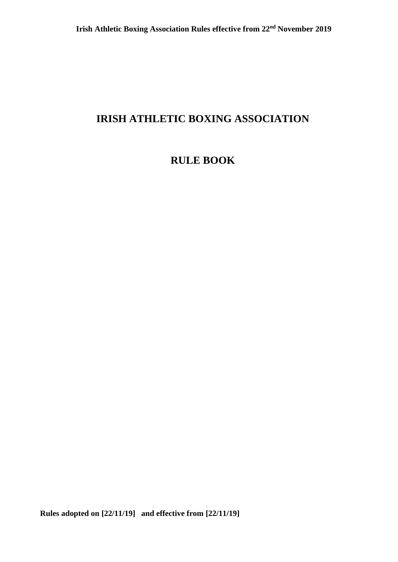# **IRISH ATHLETIC BOXING ASSOCIATION**

# **RULE BOOK**

**Rules adopted on [22/11/19] and effective from [22/11/19]**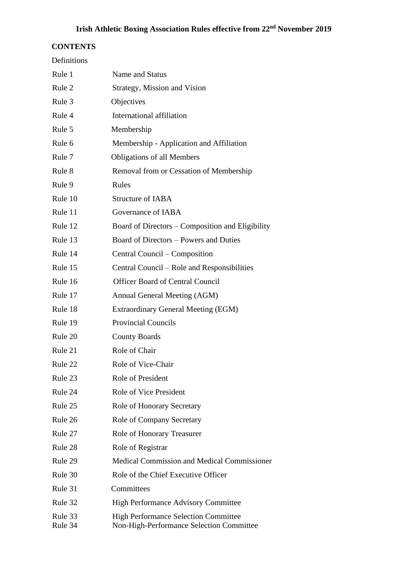# **CONTENTS**

| Definitions        |                                                                                         |  |
|--------------------|-----------------------------------------------------------------------------------------|--|
| Rule 1             | Name and Status                                                                         |  |
| Rule 2             | Strategy, Mission and Vision                                                            |  |
| Rule 3             | Objectives                                                                              |  |
| Rule 4             | International affiliation                                                               |  |
| Rule 5             | Membership                                                                              |  |
| Rule 6             | Membership - Application and Affiliation                                                |  |
| Rule 7             | <b>Obligations of all Members</b>                                                       |  |
| Rule 8             | Removal from or Cessation of Membership                                                 |  |
| Rule 9             | Rules                                                                                   |  |
| Rule 10            | <b>Structure of IABA</b>                                                                |  |
| Rule 11            | Governance of IABA                                                                      |  |
| Rule 12            | Board of Directors – Composition and Eligibility                                        |  |
| Rule 13            | Board of Directors – Powers and Duties                                                  |  |
| Rule 14            | Central Council – Composition                                                           |  |
| Rule 15            | Central Council – Role and Responsibilities                                             |  |
| Rule 16            | <b>Officer Board of Central Council</b>                                                 |  |
| Rule 17            | Annual General Meeting (AGM)                                                            |  |
| Rule 18            | Extraordinary General Meeting (EGM)                                                     |  |
| Rule 19            | <b>Provincial Councils</b>                                                              |  |
| Rule 20            | <b>County Boards</b>                                                                    |  |
| Rule 21            | Role of Chair                                                                           |  |
| Rule 22            | Role of Vice-Chair                                                                      |  |
| Rule 23            | <b>Role of President</b>                                                                |  |
| Rule 24            | Role of Vice President                                                                  |  |
| Rule 25            | <b>Role of Honorary Secretary</b>                                                       |  |
| Rule 26            | <b>Role of Company Secretary</b>                                                        |  |
| Rule 27            | Role of Honorary Treasurer                                                              |  |
| Rule 28            | Role of Registrar                                                                       |  |
| Rule 29            | <b>Medical Commission and Medical Commissioner</b>                                      |  |
| Rule 30            | Role of the Chief Executive Officer                                                     |  |
| Rule 31            | Committees                                                                              |  |
| Rule 32            | <b>High Performance Advisory Committee</b>                                              |  |
| Rule 33<br>Rule 34 | <b>High Performance Selection Committee</b><br>Non-High-Performance Selection Committee |  |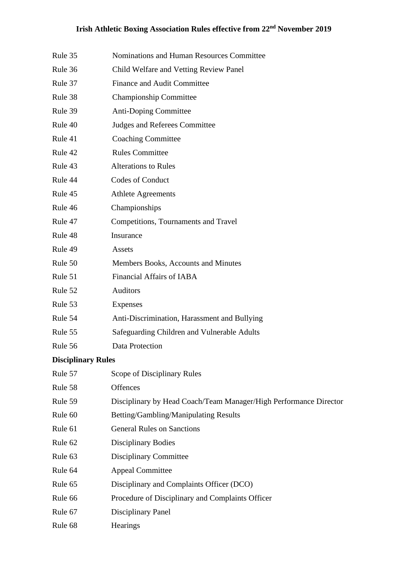- Rule 35 Nominations and Human Resources Committee
- Rule 36 Child Welfare and Vetting Review Panel
- Rule 37 Finance and Audit Committee
- Rule 38 Championship Committee
- Rule 39 Anti-Doping Committee
- Rule 40 Judges and Referees Committee
- Rule 41 Coaching Committee
- Rule 42 Rules Committee
- Rule 43 Alterations to Rules
- Rule 44 Codes of Conduct
- Rule 45 Athlete Agreements
- Rule 46 Championships
- Rule 47 Competitions, Tournaments and Travel
- Rule 48 Insurance
- Rule 49 Assets
- Rule 50 Members Books, Accounts and Minutes
- Rule 51 Financial Affairs of IABA
- Rule 52 Auditors
- Rule 53 Expenses
- Rule 54 Anti-Discrimination, Harassment and Bullying
- Rule 55 Safeguarding Children and Vulnerable Adults
- Rule 56 Data Protection

### **Disciplinary Rules**

| Rule 57 | Scope of Disciplinary Rules                                       |
|---------|-------------------------------------------------------------------|
| Rule 58 | <b>Offences</b>                                                   |
| Rule 59 | Disciplinary by Head Coach/Team Manager/High Performance Director |
| Rule 60 | Betting/Gambling/Manipulating Results                             |
| Rule 61 | <b>General Rules on Sanctions</b>                                 |
| Rule 62 | Disciplinary Bodies                                               |
| Rule 63 | <b>Disciplinary Committee</b>                                     |
| Rule 64 | <b>Appeal Committee</b>                                           |
| Rule 65 | Disciplinary and Complaints Officer (DCO)                         |
| Rule 66 | Procedure of Disciplinary and Complaints Officer                  |
| Rule 67 | Disciplinary Panel                                                |
| Rule 68 | <b>Hearings</b>                                                   |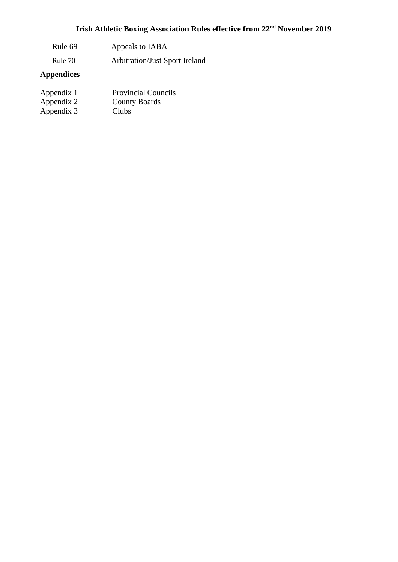# **Irish Athletic Boxing Association Rules effective from 22nd November 2019**

- Rule 69 Appeals to IABA
- Rule 70 Arbitration/Just Sport Ireland

# **Appendices**

| Appendix 1 | <b>Provincial Councils</b> |
|------------|----------------------------|
| Appendix 2 | <b>County Boards</b>       |
| Appendix 3 | <b>Clubs</b>               |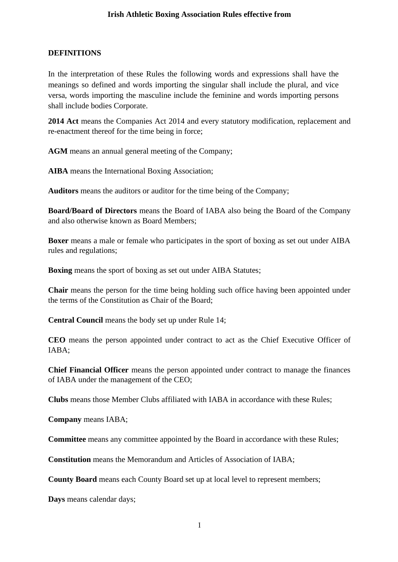# **DEFINITIONS**

In the interpretation of these Rules the following words and expressions shall have the meanings so defined and words importing the singular shall include the plural, and vice versa, words importing the masculine include the feminine and words importing persons shall include bodies Corporate.

**2014 Act** means the Companies Act 2014 and every statutory modification, replacement and re-enactment thereof for the time being in force;

**AGM** means an annual general meeting of the Company;

**AIBA** means the International Boxing Association;

**Auditors** means the auditors or auditor for the time being of the Company;

**Board/Board of Directors** means the Board of IABA also being the Board of the Company and also otherwise known as Board Members;

**Boxer** means a male or female who participates in the sport of boxing as set out under AIBA rules and regulations;

**Boxing** means the sport of boxing as set out under AIBA Statutes;

**Chair** means the person for the time being holding such office having been appointed under the terms of the Constitution as Chair of the Board;

**Central Council** means the body set up under Rule 14;

**CEO** means the person appointed under contract to act as the Chief Executive Officer of IABA;

**Chief Financial Officer** means the person appointed under contract to manage the finances of IABA under the management of the CEO;

**Clubs** means those Member Clubs affiliated with IABA in accordance with these Rules;

**Company** means IABA;

**Committee** means any committee appointed by the Board in accordance with these Rules;

**Constitution** means the Memorandum and Articles of Association of IABA;

**County Board** means each County Board set up at local level to represent members;

**Days** means calendar days;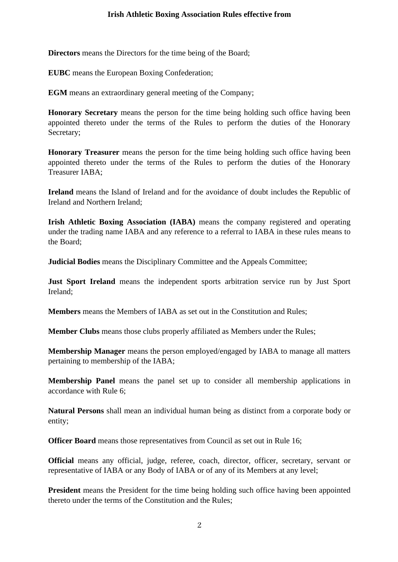**Directors** means the Directors for the time being of the Board;

**EUBC** means the European Boxing Confederation;

**EGM** means an extraordinary general meeting of the Company;

**Honorary Secretary** means the person for the time being holding such office having been appointed thereto under the terms of the Rules to perform the duties of the Honorary Secretary;

**Honorary Treasurer** means the person for the time being holding such office having been appointed thereto under the terms of the Rules to perform the duties of the Honorary Treasurer IABA;

**Ireland** means the Island of Ireland and for the avoidance of doubt includes the Republic of Ireland and Northern Ireland;

**Irish Athletic Boxing Association (IABA)** means the company registered and operating under the trading name IABA and any reference to a referral to IABA in these rules means to the Board;

**Judicial Bodies** means the Disciplinary Committee and the Appeals Committee;

**Just Sport Ireland** means the independent sports arbitration service run by Just Sport Ireland;

**Members** means the Members of IABA as set out in the Constitution and Rules;

**Member Clubs** means those clubs properly affiliated as Members under the Rules;

**Membership Manager** means the person employed/engaged by IABA to manage all matters pertaining to membership of the IABA;

**Membership Panel** means the panel set up to consider all membership applications in accordance with Rule 6;

**Natural Persons** shall mean an individual human being as distinct from a corporate body or entity;

**Officer Board** means those representatives from Council as set out in Rule 16;

**Official** means any official, judge, referee, coach, director, officer, secretary, servant or representative of IABA or any Body of IABA or of any of its Members at any level;

**President** means the President for the time being holding such office having been appointed thereto under the terms of the Constitution and the Rules;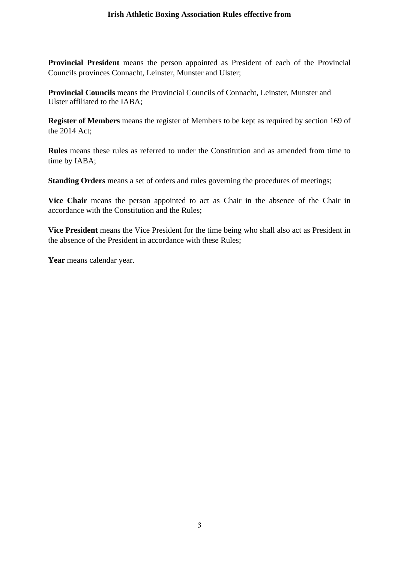**Provincial President** means the person appointed as President of each of the Provincial Councils provinces Connacht, Leinster, Munster and Ulster;

**Provincial Councils** means the Provincial Councils of Connacht, Leinster, Munster and Ulster affiliated to the IABA;

**Register of Members** means the register of Members to be kept as required by section 169 of the 2014 Act;

**Rules** means these rules as referred to under the Constitution and as amended from time to time by IABA;

**Standing Orders** means a set of orders and rules governing the procedures of meetings;

**Vice Chair** means the person appointed to act as Chair in the absence of the Chair in accordance with the Constitution and the Rules;

**Vice President** means the Vice President for the time being who shall also act as President in the absence of the President in accordance with these Rules;

Year means calendar year.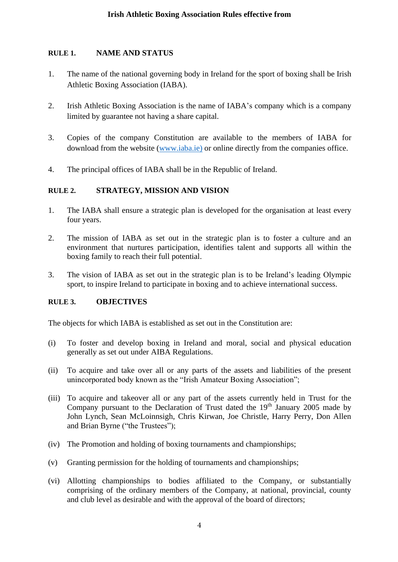# **RULE 1. NAME AND STATUS**

- 1. The name of the national governing body in Ireland for the sport of boxing shall be Irish Athletic Boxing Association (IABA).
- 2. Irish Athletic Boxing Association is the name of IABA's company which is a company limited by guarantee not having a share capital.
- 3. Copies of the company Constitution are available to the members of IABA for download from the website [\(www.iaba.ie\)](http://www.iaba.ie)/) or online directly from the companies office.
- 4. The principal offices of IABA shall be in the Republic of Ireland.

# **RULE 2. STRATEGY, MISSION AND VISION**

- 1. The IABA shall ensure a strategic plan is developed for the organisation at least every four years.
- 2. The mission of IABA as set out in the strategic plan is to foster a culture and an environment that nurtures participation, identifies talent and supports all within the boxing family to reach their full potential.
- 3. The vision of IABA as set out in the strategic plan is to be Ireland's leading Olympic sport, to inspire Ireland to participate in boxing and to achieve international success.

# **RULE 3. OBJECTIVES**

The objects for which IABA is established as set out in the Constitution are:

- (i) To foster and develop boxing in Ireland and moral, social and physical education generally as set out under AIBA Regulations.
- (ii) To acquire and take over all or any parts of the assets and liabilities of the present unincorporated body known as the "Irish Amateur Boxing Association";
- (iii) To acquire and takeover all or any part of the assets currently held in Trust for the Company pursuant to the Declaration of Trust dated the  $19<sup>th</sup>$  January 2005 made by John Lynch, Sean McLoinnsigh, Chris Kirwan, Joe Christle, Harry Perry, Don Allen and Brian Byrne ("the Trustees");
- (iv) The Promotion and holding of boxing tournaments and championships;
- (v) Granting permission for the holding of tournaments and championships;
- (vi) Allotting championships to bodies affiliated to the Company, or substantially comprising of the ordinary members of the Company, at national, provincial, county and club level as desirable and with the approval of the board of directors;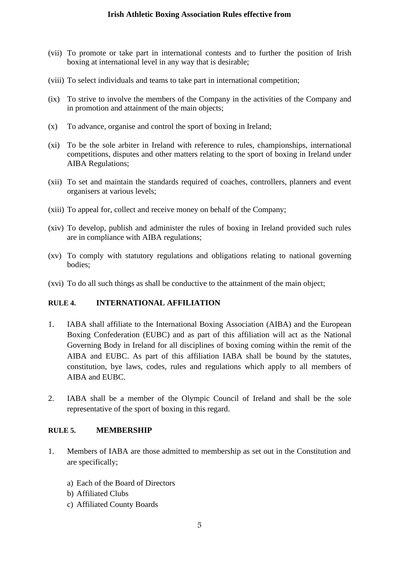- (vii) To promote or take part in international contests and to further the position of Irish boxing at international level in any way that is desirable;
- (viii) To select individuals and teams to take part in international competition;
- (ix) To strive to involve the members of the Company in the activities of the Company and in promotion and attainment of the main objects;
- (x) To advance, organise and control the sport of boxing in Ireland;
- (xi) To be the sole arbiter in Ireland with reference to rules, championships, international competitions, disputes and other matters relating to the sport of boxing in Ireland under AIBA Regulations;
- (xii) To set and maintain the standards required of coaches, controllers, planners and event organisers at various levels;
- (xiii) To appeal for, collect and receive money on behalf of the Company;
- (xiv) To develop, publish and administer the rules of boxing in Ireland provided such rules are in compliance with AIBA regulations;
- (xv) To comply with statutory regulations and obligations relating to national governing bodies;
- (xvi) To do all such things as shall be conductive to the attainment of the main object;

### **RULE 4. INTERNATIONAL AFFILIATION**

- 1. IABA shall affiliate to the International Boxing Association (AIBA) and the European Boxing Confederation (EUBC) and as part of this affiliation will act as the National Governing Body in Ireland for all disciplines of boxing coming within the remit of the AIBA and EUBC. As part of this affiliation IABA shall be bound by the statutes, constitution, bye laws, codes, rules and regulations which apply to all members of AIBA and EUBC.
- 2. IABA shall be a member of the Olympic Council of Ireland and shall be the sole representative of the sport of boxing in this regard.

### **RULE 5. MEMBERSHIP**

- 1. Members of IABA are those admitted to membership as set out in the Constitution and are specifically;
	- a) Each of the Board of Directors
	- b) Affiliated Clubs
	- c) Affiliated County Boards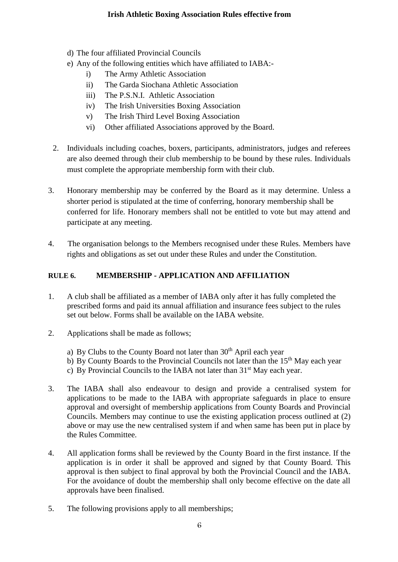- d) The four affiliated Provincial Councils
- e) Any of the following entities which have affiliated to IABA:
	- i) The Army Athletic Association
	- ii) The Garda Siochana Athletic Association
	- iii) The P.S.N.I. Athletic Association
	- iv) The Irish Universities Boxing Association
	- v) The Irish Third Level Boxing Association
	- vi) Other affiliated Associations approved by the Board.
- 2. Individuals including coaches, boxers, participants, administrators, judges and referees are also deemed through their club membership to be bound by these rules. Individuals must complete the appropriate membership form with their club.
- 3. Honorary membership may be conferred by the Board as it may determine. Unless a shorter period is stipulated at the time of conferring, honorary membership shall be conferred for life. Honorary members shall not be entitled to vote but may attend and participate at any meeting.
- 4. The organisation belongs to the Members recognised under these Rules. Members have rights and obligations as set out under these Rules and under the Constitution.

### **RULE 6. MEMBERSHIP - APPLICATION AND AFFILIATION**

- 1. A club shall be affiliated as a member of IABA only after it has fully completed the prescribed forms and paid its annual affiliation and insurance fees subject to the rules set out below. Forms shall be available on the IABA website.
- 2. Applications shall be made as follows;
	- a) By Clubs to the County Board not later than  $30<sup>th</sup>$  April each year
	- b) By County Boards to the Provincial Councils not later than the 15<sup>th</sup> May each year
	- c) By Provincial Councils to the IABA not later than  $31<sup>st</sup>$  May each year.
- 3. The IABA shall also endeavour to design and provide a centralised system for applications to be made to the IABA with appropriate safeguards in place to ensure approval and oversight of membership applications from County Boards and Provincial Councils. Members may continue to use the existing application process outlined at (2) above or may use the new centralised system if and when same has been put in place by the Rules Committee.
- 4. All application forms shall be reviewed by the County Board in the first instance. If the application is in order it shall be approved and signed by that County Board. This approval is then subject to final approval by both the Provincial Council and the IABA. For the avoidance of doubt the membership shall only become effective on the date all approvals have been finalised.
- 5. The following provisions apply to all memberships;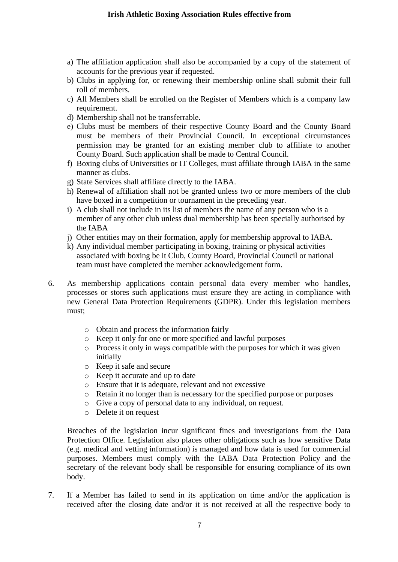- a) The affiliation application shall also be accompanied by a copy of the statement of accounts for the previous year if requested.
- b) Clubs in applying for, or renewing their membership online shall submit their full roll of members.
- c) All Members shall be enrolled on the Register of Members which is a company law requirement.
- d) Membership shall not be transferrable.
- e) Clubs must be members of their respective County Board and the County Board must be members of their Provincial Council. In exceptional circumstances permission may be granted for an existing member club to affiliate to another County Board. Such application shall be made to Central Council.
- f) Boxing clubs of Universities or IT Colleges, must affiliate through IABA in the same manner as clubs.
- g) State Services shall affiliate directly to the IABA.
- h) Renewal of affiliation shall not be granted unless two or more members of the club have boxed in a competition or tournament in the preceding year.
- i) A club shall not include in its list of members the name of any person who is a member of any other club unless dual membership has been specially authorised by the IABA
- j) Other entities may on their formation, apply for membership approval to IABA.
- k) Any individual member participating in boxing, training or physical activities associated with boxing be it Club, County Board, Provincial Council or national team must have completed the member acknowledgement form.
- 6. As membership applications contain personal data every member who handles, processes or stores such applications must ensure they are acting in compliance with new General Data Protection Requirements (GDPR). Under this legislation members must;
	- o Obtain and process the information fairly
	- o Keep it only for one or more specified and lawful purposes
	- o Process it only in ways compatible with the purposes for which it was given initially
	- o Keep it safe and secure
	- o Keep it accurate and up to date
	- o Ensure that it is adequate, relevant and not excessive
	- o Retain it no longer than is necessary for the specified purpose or purposes
	- o Give a copy of personal data to any individual, on request.
	- o Delete it on request

Breaches of the legislation incur significant fines and investigations from the Data Protection Office. Legislation also places other obligations such as how sensitive Data (e.g. medical and vetting information) is managed and how data is used for commercial purposes. Members must comply with the IABA Data Protection Policy and the secretary of the relevant body shall be responsible for ensuring compliance of its own body.

7. If a Member has failed to send in its application on time and/or the application is received after the closing date and/or it is not received at all the respective body to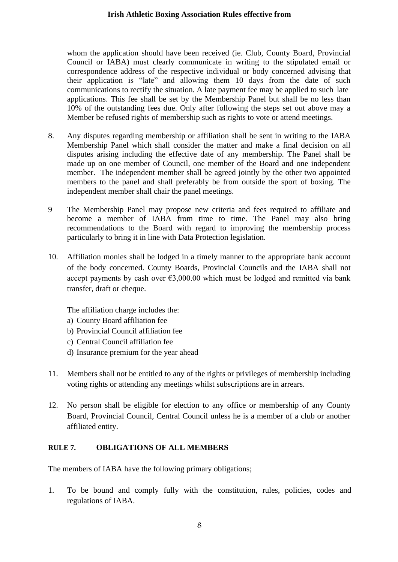whom the application should have been received (ie. Club, County Board, Provincial Council or IABA) must clearly communicate in writing to the stipulated email or correspondence address of the respective individual or body concerned advising that their application is "late" and allowing them 10 days from the date of such communications to rectify the situation. A late payment fee may be applied to such late applications. This fee shall be set by the Membership Panel but shall be no less than 10% of the outstanding fees due. Only after following the steps set out above may a Member be refused rights of membership such as rights to vote or attend meetings.

- 8. Any disputes regarding membership or affiliation shall be sent in writing to the IABA Membership Panel which shall consider the matter and make a final decision on all disputes arising including the effective date of any membership. The Panel shall be made up on one member of Council, one member of the Board and one independent member. The independent member shall be agreed jointly by the other two appointed members to the panel and shall preferably be from outside the sport of boxing. The independent member shall chair the panel meetings.
- 9 The Membership Panel may propose new criteria and fees required to affiliate and become a member of IABA from time to time. The Panel may also bring recommendations to the Board with regard to improving the membership process particularly to bring it in line with Data Protection legislation.
- 10. Affiliation monies shall be lodged in a timely manner to the appropriate bank account of the body concerned. County Boards, Provincial Councils and the IABA shall not accept payments by cash over  $\epsilon$ 3,000.00 which must be lodged and remitted via bank transfer, draft or cheque.

The affiliation charge includes the:

- a) County Board affiliation fee
- b) Provincial Council affiliation fee
- c) Central Council affiliation fee
- d) Insurance premium for the year ahead
- 11. Members shall not be entitled to any of the rights or privileges of membership including voting rights or attending any meetings whilst subscriptions are in arrears.
- 12. No person shall be eligible for election to any office or membership of any County Board, Provincial Council, Central Council unless he is a member of a club or another affiliated entity.

#### **RULE 7. OBLIGATIONS OF ALL MEMBERS**

The members of IABA have the following primary obligations;

1. To be bound and comply fully with the constitution, rules, policies, codes and regulations of IABA.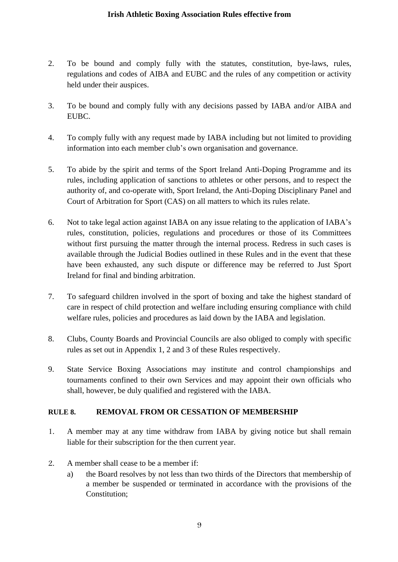- 2. To be bound and comply fully with the statutes, constitution, bye-laws, rules, regulations and codes of AIBA and EUBC and the rules of any competition or activity held under their auspices.
- 3. To be bound and comply fully with any decisions passed by IABA and/or AIBA and EUBC.
- 4. To comply fully with any request made by IABA including but not limited to providing information into each member club's own organisation and governance.
- 5. To abide by the spirit and terms of the Sport Ireland Anti-Doping Programme and its rules, including application of sanctions to athletes or other persons, and to respect the authority of, and co-operate with, Sport Ireland, the Anti-Doping Disciplinary Panel and Court of Arbitration for Sport (CAS) on all matters to which its rules relate.
- 6. Not to take legal action against IABA on any issue relating to the application of IABA's rules, constitution, policies, regulations and procedures or those of its Committees without first pursuing the matter through the internal process. Redress in such cases is available through the Judicial Bodies outlined in these Rules and in the event that these have been exhausted, any such dispute or difference may be referred to Just Sport Ireland for final and binding arbitration.
- 7. To safeguard children involved in the sport of boxing and take the highest standard of care in respect of child protection and welfare including ensuring compliance with child welfare rules, policies and procedures as laid down by the IABA and legislation.
- 8. Clubs, County Boards and Provincial Councils are also obliged to comply with specific rules as set out in Appendix 1, 2 and 3 of these Rules respectively.
- 9. State Service Boxing Associations may institute and control championships and tournaments confined to their own Services and may appoint their own officials who shall, however, be duly qualified and registered with the IABA.

# **RULE 8. REMOVAL FROM OR CESSATION OF MEMBERSHIP**

- 1. A member may at any time withdraw from IABA by giving notice but shall remain liable for their subscription for the then current year.
- 2. A member shall cease to be a member if:
	- a) the Board resolves by not less than two thirds of the Directors that membership of a member be suspended or terminated in accordance with the provisions of the Constitution;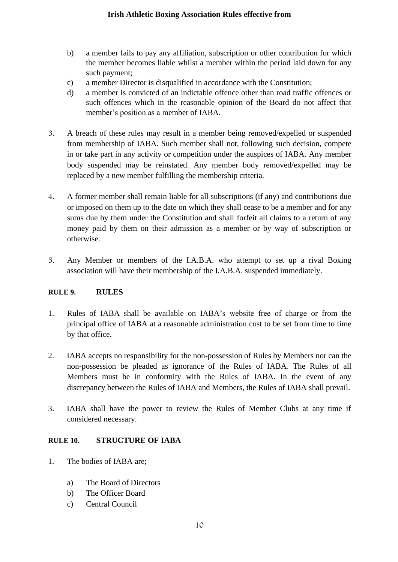- b) a member fails to pay any affiliation, subscription or other contribution for which the member becomes liable whilst a member within the period laid down for any such payment;
- c) a member Director is disqualified in accordance with the Constitution;
- d) a member is convicted of an indictable offence other than road traffic offences or such offences which in the reasonable opinion of the Board do not affect that member's position as a member of IABA.
- 3. A breach of these rules may result in a member being removed/expelled or suspended from membership of IABA. Such member shall not, following such decision, compete in or take part in any activity or competition under the auspices of IABA. Any member body suspended may be reinstated. Any member body removed/expelled may be replaced by a new member fulfilling the membership criteria.
- 4. A former member shall remain liable for all subscriptions (if any) and contributions due or imposed on them up to the date on which they shall cease to be a member and for any sums due by them under the Constitution and shall forfeit all claims to a return of any money paid by them on their admission as a member or by way of subscription or otherwise.
- 5. Any Member or members of the I.A.B.A. who attempt to set up a rival Boxing association will have their membership of the I.A.B.A. suspended immediately.

# **RULE 9. RULES**

- 1. Rules of IABA shall be available on IABA's website free of charge or from the principal office of IABA at a reasonable administration cost to be set from time to time by that office.
- 2. IABA accepts no responsibility for the non-possession of Rules by Members nor can the non-possession be pleaded as ignorance of the Rules of IABA. The Rules of all Members must be in conformity with the Rules of IABA. In the event of any discrepancy between the Rules of IABA and Members, the Rules of IABA shall prevail.
- 3. IABA shall have the power to review the Rules of Member Clubs at any time if considered necessary.

# **RULE 10. STRUCTURE OF IABA**

- 1. The bodies of IABA are;
	- a) The Board of Directors
	- b) The Officer Board
	- c) Central Council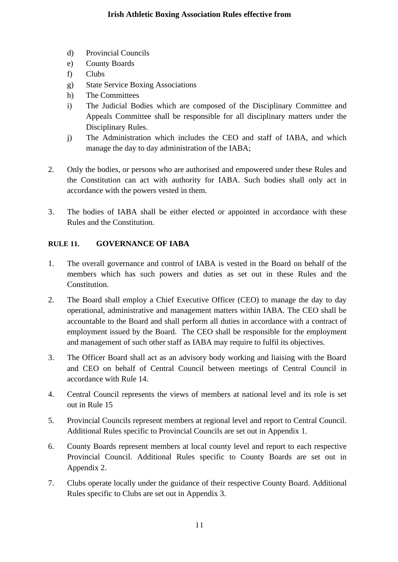- d) Provincial Councils
- e) County Boards
- f) Clubs
- g) State Service Boxing Associations
- h) The Committees
- i) The Judicial Bodies which are composed of the Disciplinary Committee and Appeals Committee shall be responsible for all disciplinary matters under the Disciplinary Rules.
- j) The Administration which includes the CEO and staff of IABA, and which manage the day to day administration of the IABA;
- 2. Only the bodies, or persons who are authorised and empowered under these Rules and the Constitution can act with authority for IABA. Such bodies shall only act in accordance with the powers vested in them.
- 3. The bodies of IABA shall be either elected or appointed in accordance with these Rules and the Constitution.

# **RULE 11. GOVERNANCE OF IABA**

- 1. The overall governance and control of IABA is vested in the Board on behalf of the members which has such powers and duties as set out in these Rules and the Constitution.
- 2. The Board shall employ a Chief Executive Officer (CEO) to manage the day to day operational, administrative and management matters within IABA. The CEO shall be accountable to the Board and shall perform all duties in accordance with a contract of employment issued by the Board. The CEO shall be responsible for the employment and management of such other staff as IABA may require to fulfil its objectives.
- 3. The Officer Board shall act as an advisory body working and liaising with the Board and CEO on behalf of Central Council between meetings of Central Council in accordance with Rule 14.
- 4. Central Council represents the views of members at national level and its role is set out in Rule 15
- 5. Provincial Councils represent members at regional level and report to Central Council. Additional Rules specific to Provincial Councils are set out in Appendix 1.
- 6. County Boards represent members at local county level and report to each respective Provincial Council. Additional Rules specific to County Boards are set out in Appendix 2.
- 7. Clubs operate locally under the guidance of their respective County Board. Additional Rules specific to Clubs are set out in Appendix 3.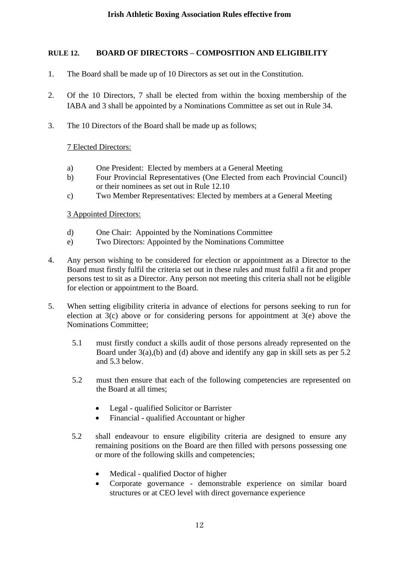# **RULE 12. BOARD OF DIRECTORS – COMPOSITION AND ELIGIBILITY**

- 1. The Board shall be made up of 10 Directors as set out in the Constitution.
- 2. Of the 10 Directors, 7 shall be elected from within the boxing membership of the IABA and 3 shall be appointed by a Nominations Committee as set out in Rule 34.
- 3. The 10 Directors of the Board shall be made up as follows;

### 7 Elected Directors:

- a) One President: Elected by members at a General Meeting
- b) Four Provincial Representatives (One Elected from each Provincial Council) or their nominees as set out in Rule 12.10
- c) Two Member Representatives: Elected by members at a General Meeting

### 3 Appointed Directors:

- d) One Chair: Appointed by the Nominations Committee
- e) Two Directors: Appointed by the Nominations Committee
- 4. Any person wishing to be considered for election or appointment as a Director to the Board must firstly fulfil the criteria set out in these rules and must fulfil a fit and proper persons test to sit as a Director. Any person not meeting this criteria shall not be eligible for election or appointment to the Board.
- 5. When setting eligibility criteria in advance of elections for persons seeking to run for election at 3(c) above or for considering persons for appointment at 3(e) above the Nominations Committee;
	- 5.1 must firstly conduct a skills audit of those persons already represented on the Board under 3(a),(b) and (d) above and identify any gap in skill sets as per 5.2 and 5.3 below.
	- 5.2 must then ensure that each of the following competencies are represented on the Board at all times;
		- Legal qualified Solicitor or Barrister
		- Financial qualified Accountant or higher
	- 5.2 shall endeavour to ensure eligibility criteria are designed to ensure any remaining positions on the Board are then filled with persons possessing one or more of the following skills and competencies;
		- Medical qualified Doctor of higher
		- Corporate governance demonstrable experience on similar board structures or at CEO level with direct governance experience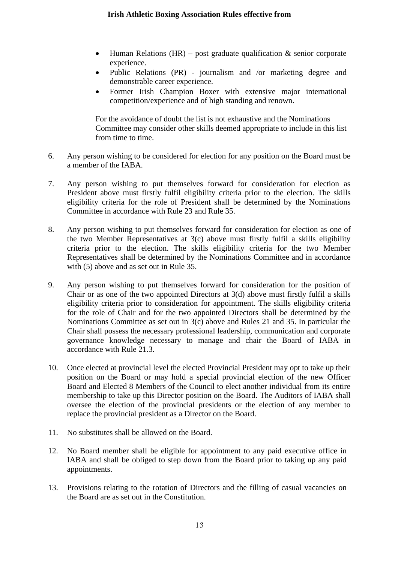- Human Relations (HR) post graduate qualification  $\&$  senior corporate experience.
- Public Relations (PR) journalism and /or marketing degree and demonstrable career experience.
- Former Irish Champion Boxer with extensive major international competition/experience and of high standing and renown.

For the avoidance of doubt the list is not exhaustive and the Nominations Committee may consider other skills deemed appropriate to include in this list from time to time.

- 6. Any person wishing to be considered for election for any position on the Board must be a member of the IABA.
- 7. Any person wishing to put themselves forward for consideration for election as President above must firstly fulfil eligibility criteria prior to the election. The skills eligibility criteria for the role of President shall be determined by the Nominations Committee in accordance with Rule 23 and Rule 35.
- 8. Any person wishing to put themselves forward for consideration for election as one of the two Member Representatives at 3(c) above must firstly fulfil a skills eligibility criteria prior to the election. The skills eligibility criteria for the two Member Representatives shall be determined by the Nominations Committee and in accordance with (5) above and as set out in Rule 35.
- 9. Any person wishing to put themselves forward for consideration for the position of Chair or as one of the two appointed Directors at 3(d) above must firstly fulfil a skills eligibility criteria prior to consideration for appointment. The skills eligibility criteria for the role of Chair and for the two appointed Directors shall be determined by the Nominations Committee as set out in 3(c) above and Rules 21 and 35. In particular the Chair shall possess the necessary professional leadership, communication and corporate governance knowledge necessary to manage and chair the Board of IABA in accordance with Rule 21.3.
- 10. Once elected at provincial level the elected Provincial President may opt to take up their position on the Board or may hold a special provincial election of the new Officer Board and Elected 8 Members of the Council to elect another individual from its entire membership to take up this Director position on the Board. The Auditors of IABA shall oversee the election of the provincial presidents or the election of any member to replace the provincial president as a Director on the Board.
- 11. No substitutes shall be allowed on the Board.
- 12. No Board member shall be eligible for appointment to any paid executive office in IABA and shall be obliged to step down from the Board prior to taking up any paid appointments.
- 13. Provisions relating to the rotation of Directors and the filling of casual vacancies on the Board are as set out in the Constitution.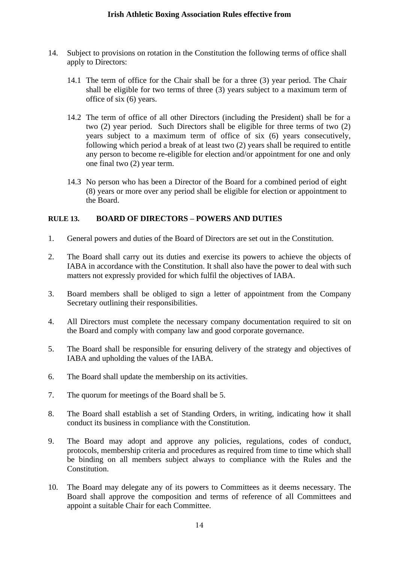- 14. Subject to provisions on rotation in the Constitution the following terms of office shall apply to Directors:
	- 14.1 The term of office for the Chair shall be for a three (3) year period. The Chair shall be eligible for two terms of three (3) years subject to a maximum term of office of six (6) years.
	- 14.2 The term of office of all other Directors (including the President) shall be for a two (2) year period. Such Directors shall be eligible for three terms of two (2) years subject to a maximum term of office of six (6) years consecutively, following which period a break of at least two (2) years shall be required to entitle any person to become re-eligible for election and/or appointment for one and only one final two (2) year term.
	- 14.3 No person who has been a Director of the Board for a combined period of eight (8) years or more over any period shall be eligible for election or appointment to the Board.

# **RULE 13. BOARD OF DIRECTORS – POWERS AND DUTIES**

- 1. General powers and duties of the Board of Directors are set out in the Constitution.
- 2. The Board shall carry out its duties and exercise its powers to achieve the objects of IABA in accordance with the Constitution. It shall also have the power to deal with such matters not expressly provided for which fulfil the objectives of IABA.
- 3. Board members shall be obliged to sign a letter of appointment from the Company Secretary outlining their responsibilities.
- 4. All Directors must complete the necessary company documentation required to sit on the Board and comply with company law and good corporate governance.
- 5. The Board shall be responsible for ensuring delivery of the strategy and objectives of IABA and upholding the values of the IABA.
- 6. The Board shall update the membership on its activities.
- 7. The quorum for meetings of the Board shall be 5.
- 8. The Board shall establish a set of Standing Orders, in writing, indicating how it shall conduct its business in compliance with the Constitution.
- 9. The Board may adopt and approve any policies, regulations, codes of conduct, protocols, membership criteria and procedures as required from time to time which shall be binding on all members subject always to compliance with the Rules and the Constitution.
- 10. The Board may delegate any of its powers to Committees as it deems necessary. The Board shall approve the composition and terms of reference of all Committees and appoint a suitable Chair for each Committee.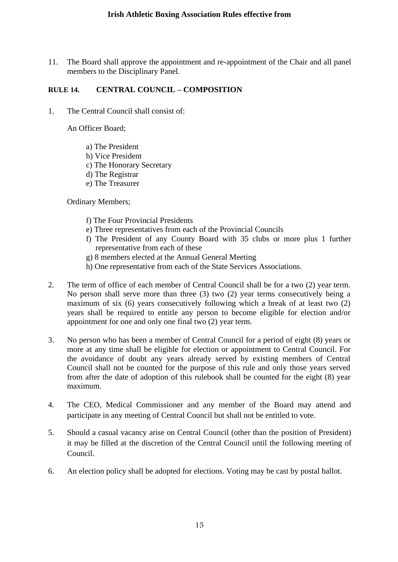11. The Board shall approve the appointment and re-appointment of the Chair and all panel members to the Disciplinary Panel.

### **RULE 14. CENTRAL COUNCIL – COMPOSITION**

1. The Central Council shall consist of:

An Officer Board;

- a) The President
- b) Vice President
- c) The Honorary Secretary
- d) The Registrar
- e) The Treasurer

Ordinary Members;

- f) The Four Provincial Presidents
- e) Three representatives from each of the Provincial Councils
- f) The President of any County Board with 35 clubs or more plus 1 further representative from each of these
- g) 8 members elected at the Annual General Meeting
- h) One representative from each of the State Services Associations.
- 2. The term of office of each member of Central Council shall be for a two (2) year term. No person shall serve more than three (3) two (2) year terms consecutively being a maximum of six (6) years consecutively following which a break of at least two (2) years shall be required to entitle any person to become eligible for election and/or appointment for one and only one final two (2) year term.
- 3. No person who has been a member of Central Council for a period of eight (8) years or more at any time shall be eligible for election or appointment to Central Council. For the avoidance of doubt any years already served by existing members of Central Council shall not be counted for the purpose of this rule and only those years served from after the date of adoption of this rulebook shall be counted for the eight (8) year maximum.
- 4. The CEO, Medical Commissioner and any member of the Board may attend and participate in any meeting of Central Council but shall not be entitled to vote.
- 5. Should a casual vacancy arise on Central Council (other than the position of President) it may be filled at the discretion of the Central Council until the following meeting of Council.
- 6. An election policy shall be adopted for elections. Voting may be cast by postal ballot.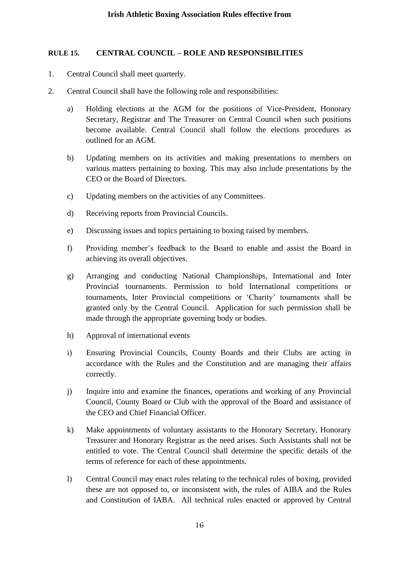### **RULE 15. CENTRAL COUNCIL – ROLE AND RESPONSIBILITIES**

- 1. Central Council shall meet quarterly.
- 2. Central Council shall have the following role and responsibilities:
	- a) Holding elections at the AGM for the positions of Vice-President, Honorary Secretary, Registrar and The Treasurer on Central Council when such positions become available. Central Council shall follow the elections procedures as outlined for an AGM.
	- b) Updating members on its activities and making presentations to members on various matters pertaining to boxing. This may also include presentations by the CEO or the Board of Directors.
	- c) Updating members on the activities of any Committees.
	- d) Receiving reports from Provincial Councils.
	- e) Discussing issues and topics pertaining to boxing raised by members.
	- f) Providing member's feedback to the Board to enable and assist the Board in achieving its overall objectives.
	- g) Arranging and conducting National Championships, International and Inter Provincial tournaments. Permission to hold International competitions or tournaments, Inter Provincial competitions or 'Charity' tournaments shall be granted only by the Central Council. Application for such permission shall be made through the appropriate governing body or bodies.
	- h) Approval of international events
	- i) Ensuring Provincial Councils, County Boards and their Clubs are acting in accordance with the Rules and the Constitution and are managing their affairs correctly.
	- j) Inquire into and examine the finances, operations and working of any Provincial Council, County Board or Club with the approval of the Board and assistance of the CEO and Chief Financial Officer.
	- k) Make appointments of voluntary assistants to the Honorary Secretary, Honorary Treasurer and Honorary Registrar as the need arises. Such Assistants shall not be entitled to vote. The Central Council shall determine the specific details of the terms of reference for each of these appointments.
	- l) Central Council may enact rules relating to the technical rules of boxing, provided these are not opposed to, or inconsistent with, the rules of AIBA and the Rules and Constitution of IABA. All technical rules enacted or approved by Central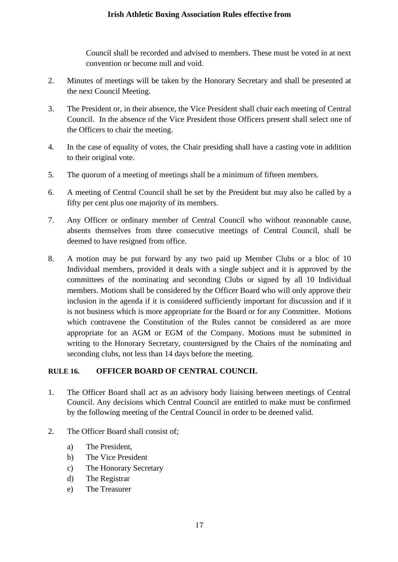Council shall be recorded and advised to members. These must be voted in at next convention or become null and void.

- 2. Minutes of meetings will be taken by the Honorary Secretary and shall be presented at the next Council Meeting.
- 3. The President or, in their absence, the Vice President shall chair each meeting of Central Council. In the absence of the Vice President those Officers present shall select one of the Officers to chair the meeting.
- 4. In the case of equality of votes, the Chair presiding shall have a casting vote in addition to their original vote.
- 5. The quorum of a meeting of meetings shall be a minimum of fifteen members.
- 6. A meeting of Central Council shall be set by the President but may also be called by a fifty per cent plus one majority of its members.
- 7. Any Officer or ordinary member of Central Council who without reasonable cause, absents themselves from three consecutive meetings of Central Council, shall be deemed to have resigned from office.
- 8. A motion may be put forward by any two paid up Member Clubs or a bloc of 10 Individual members, provided it deals with a single subject and it is approved by the committees of the nominating and seconding Clubs or signed by all 10 Individual members. Motions shall be considered by the Officer Board who will only approve their inclusion in the agenda if it is considered sufficiently important for discussion and if it is not business which is more appropriate for the Board or for any Committee. Motions which contravene the Constitution of the Rules cannot be considered as are more appropriate for an AGM or EGM of the Company. Motions must be submitted in writing to the Honorary Secretary, countersigned by the Chairs of the nominating and seconding clubs, not less than 14 days before the meeting.

# **RULE 16. OFFICER BOARD OF CENTRAL COUNCIL**

- 1. The Officer Board shall act as an advisory body liaising between meetings of Central Council. Any decisions which Central Council are entitled to make must be confirmed by the following meeting of the Central Council in order to be deemed valid.
- 2. The Officer Board shall consist of;
	- a) The President,
	- b) The Vice President
	- c) The Honorary Secretary
	- d) The Registrar
	- e) The Treasurer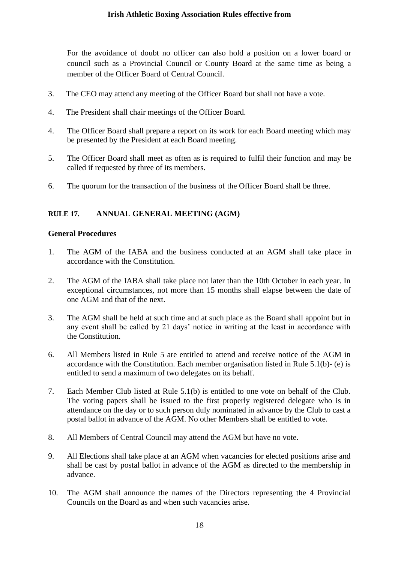For the avoidance of doubt no officer can also hold a position on a lower board or council such as a Provincial Council or County Board at the same time as being a member of the Officer Board of Central Council.

- 3. The CEO may attend any meeting of the Officer Board but shall not have a vote.
- 4. The President shall chair meetings of the Officer Board.
- 4. The Officer Board shall prepare a report on its work for each Board meeting which may be presented by the President at each Board meeting.
- 5. The Officer Board shall meet as often as is required to fulfil their function and may be called if requested by three of its members.
- 6. The quorum for the transaction of the business of the Officer Board shall be three.

# **RULE 17. ANNUAL GENERAL MEETING (AGM)**

### **General Procedures**

- 1. The AGM of the IABA and the business conducted at an AGM shall take place in accordance with the Constitution.
- 2. The AGM of the IABA shall take place not later than the 10th October in each year. In exceptional circumstances, not more than 15 months shall elapse between the date of one AGM and that of the next.
- 3. The AGM shall be held at such time and at such place as the Board shall appoint but in any event shall be called by 21 days' notice in writing at the least in accordance with the Constitution.
- 6. All Members listed in Rule 5 are entitled to attend and receive notice of the AGM in accordance with the Constitution. Each member organisation listed in Rule 5.1(b)- (e) is entitled to send a maximum of two delegates on its behalf.
- 7. Each Member Club listed at Rule 5.1(b) is entitled to one vote on behalf of the Club. The voting papers shall be issued to the first properly registered delegate who is in attendance on the day or to such person duly nominated in advance by the Club to cast a postal ballot in advance of the AGM. No other Members shall be entitled to vote.
- 8. All Members of Central Council may attend the AGM but have no vote.
- 9. All Elections shall take place at an AGM when vacancies for elected positions arise and shall be cast by postal ballot in advance of the AGM as directed to the membership in advance.
- 10. The AGM shall announce the names of the Directors representing the 4 Provincial Councils on the Board as and when such vacancies arise.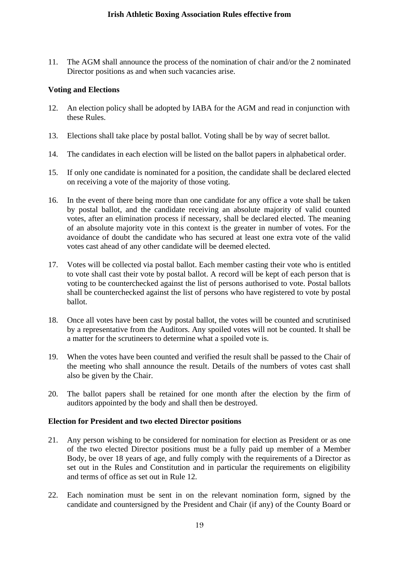11. The AGM shall announce the process of the nomination of chair and/or the 2 nominated Director positions as and when such vacancies arise.

### **Voting and Elections**

- 12. An election policy shall be adopted by IABA for the AGM and read in conjunction with these Rules.
- 13. Elections shall take place by postal ballot. Voting shall be by way of secret ballot.
- 14. The candidates in each election will be listed on the ballot papers in alphabetical order.
- 15. If only one candidate is nominated for a position, the candidate shall be declared elected on receiving a vote of the majority of those voting.
- 16. In the event of there being more than one candidate for any office a vote shall be taken by postal ballot, and the candidate receiving an absolute majority of valid counted votes, after an elimination process if necessary, shall be declared elected. The meaning of an absolute majority vote in this context is the greater in number of votes. For the avoidance of doubt the candidate who has secured at least one extra vote of the valid votes cast ahead of any other candidate will be deemed elected.
- 17. Votes will be collected via postal ballot. Each member casting their vote who is entitled to vote shall cast their vote by postal ballot. A record will be kept of each person that is voting to be counterchecked against the list of persons authorised to vote. Postal ballots shall be counterchecked against the list of persons who have registered to vote by postal ballot.
- 18. Once all votes have been cast by postal ballot, the votes will be counted and scrutinised by a representative from the Auditors. Any spoiled votes will not be counted. It shall be a matter for the scrutineers to determine what a spoiled vote is.
- 19. When the votes have been counted and verified the result shall be passed to the Chair of the meeting who shall announce the result. Details of the numbers of votes cast shall also be given by the Chair.
- 20. The ballot papers shall be retained for one month after the election by the firm of auditors appointed by the body and shall then be destroyed.

### **Election for President and two elected Director positions**

- 21. Any person wishing to be considered for nomination for election as President or as one of the two elected Director positions must be a fully paid up member of a Member Body, be over 18 years of age, and fully comply with the requirements of a Director as set out in the Rules and Constitution and in particular the requirements on eligibility and terms of office as set out in Rule 12.
- 22. Each nomination must be sent in on the relevant nomination form, signed by the candidate and countersigned by the President and Chair (if any) of the County Board or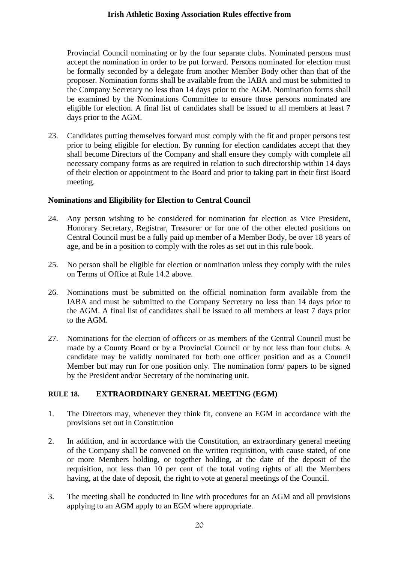Provincial Council nominating or by the four separate clubs. Nominated persons must accept the nomination in order to be put forward. Persons nominated for election must be formally seconded by a delegate from another Member Body other than that of the proposer. Nomination forms shall be available from the IABA and must be submitted to the Company Secretary no less than 14 days prior to the AGM. Nomination forms shall be examined by the Nominations Committee to ensure those persons nominated are eligible for election. A final list of candidates shall be issued to all members at least 7 days prior to the AGM.

23. Candidates putting themselves forward must comply with the fit and proper persons test prior to being eligible for election. By running for election candidates accept that they shall become Directors of the Company and shall ensure they comply with complete all necessary company forms as are required in relation to such directorship within 14 days of their election or appointment to the Board and prior to taking part in their first Board meeting.

### **Nominations and Eligibility for Election to Central Council**

- 24. Any person wishing to be considered for nomination for election as Vice President, Honorary Secretary, Registrar, Treasurer or for one of the other elected positions on Central Council must be a fully paid up member of a Member Body, be over 18 years of age, and be in a position to comply with the roles as set out in this rule book.
- 25. No person shall be eligible for election or nomination unless they comply with the rules on Terms of Office at Rule 14.2 above.
- 26. Nominations must be submitted on the official nomination form available from the IABA and must be submitted to the Company Secretary no less than 14 days prior to the AGM. A final list of candidates shall be issued to all members at least 7 days prior to the AGM.
- 27. Nominations for the election of officers or as members of the Central Council must be made by a County Board or by a Provincial Council or by not less than four clubs. A candidate may be validly nominated for both one officer position and as a Council Member but may run for one position only. The nomination form/ papers to be signed by the President and/or Secretary of the nominating unit.

### **RULE 18. EXTRAORDINARY GENERAL MEETING (EGM)**

- 1. The Directors may, whenever they think fit, convene an EGM in accordance with the provisions set out in Constitution
- 2. In addition, and in accordance with the Constitution, an extraordinary general meeting of the Company shall be convened on the written requisition, with cause stated, of one or more Members holding, or together holding, at the date of the deposit of the requisition, not less than 10 per cent of the total voting rights of all the Members having, at the date of deposit, the right to vote at general meetings of the Council.
- 3. The meeting shall be conducted in line with procedures for an AGM and all provisions applying to an AGM apply to an EGM where appropriate.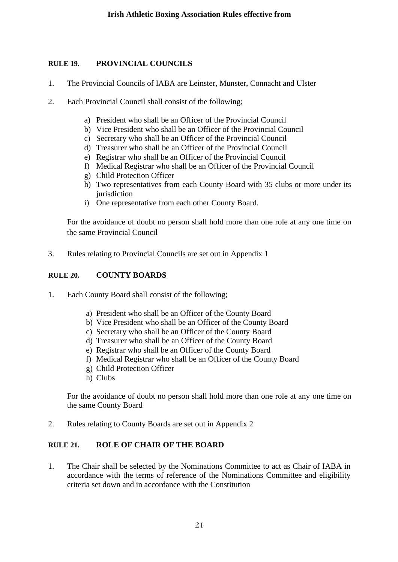## **RULE 19. PROVINCIAL COUNCILS**

- 1. The Provincial Councils of IABA are Leinster, Munster, Connacht and Ulster
- 2. Each Provincial Council shall consist of the following;
	- a) President who shall be an Officer of the Provincial Council
	- b) Vice President who shall be an Officer of the Provincial Council
	- c) Secretary who shall be an Officer of the Provincial Council
	- d) Treasurer who shall be an Officer of the Provincial Council
	- e) Registrar who shall be an Officer of the Provincial Council
	- f) Medical Registrar who shall be an Officer of the Provincial Council
	- g) Child Protection Officer
	- h) Two representatives from each County Board with 35 clubs or more under its iurisdiction
	- i) One representative from each other County Board.

For the avoidance of doubt no person shall hold more than one role at any one time on the same Provincial Council

3. Rules relating to Provincial Councils are set out in Appendix 1

### **RULE 20. COUNTY BOARDS**

- 1. Each County Board shall consist of the following;
	- a) President who shall be an Officer of the County Board
	- b) Vice President who shall be an Officer of the County Board
	- c) Secretary who shall be an Officer of the County Board
	- d) Treasurer who shall be an Officer of the County Board
	- e) Registrar who shall be an Officer of the County Board
	- f) Medical Registrar who shall be an Officer of the County Board
	- g) Child Protection Officer
	- h) Clubs

For the avoidance of doubt no person shall hold more than one role at any one time on the same County Board

2. Rules relating to County Boards are set out in Appendix 2

### **RULE 21. ROLE OF CHAIR OF THE BOARD**

1. The Chair shall be selected by the Nominations Committee to act as Chair of IABA in accordance with the terms of reference of the Nominations Committee and eligibility criteria set down and in accordance with the Constitution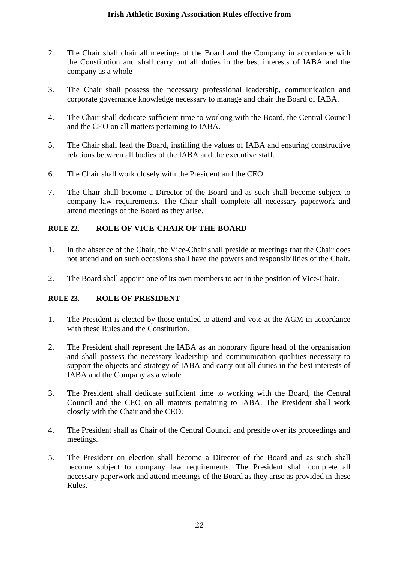- 2. The Chair shall chair all meetings of the Board and the Company in accordance with the Constitution and shall carry out all duties in the best interests of IABA and the company as a whole
- 3. The Chair shall possess the necessary professional leadership, communication and corporate governance knowledge necessary to manage and chair the Board of IABA.
- 4. The Chair shall dedicate sufficient time to working with the Board, the Central Council and the CEO on all matters pertaining to IABA.
- 5. The Chair shall lead the Board, instilling the values of IABA and ensuring constructive relations between all bodies of the IABA and the executive staff.
- 6. The Chair shall work closely with the President and the CEO.
- 7. The Chair shall become a Director of the Board and as such shall become subject to company law requirements. The Chair shall complete all necessary paperwork and attend meetings of the Board as they arise.

### **RULE 22. ROLE OF VICE-CHAIR OF THE BOARD**

- 1. In the absence of the Chair, the Vice-Chair shall preside at meetings that the Chair does not attend and on such occasions shall have the powers and responsibilities of the Chair.
- 2. The Board shall appoint one of its own members to act in the position of Vice-Chair.

### **RULE 23. ROLE OF PRESIDENT**

- 1. The President is elected by those entitled to attend and vote at the AGM in accordance with these Rules and the Constitution.
- 2. The President shall represent the IABA as an honorary figure head of the organisation and shall possess the necessary leadership and communication qualities necessary to support the objects and strategy of IABA and carry out all duties in the best interests of IABA and the Company as a whole.
- 3. The President shall dedicate sufficient time to working with the Board, the Central Council and the CEO on all matters pertaining to IABA. The President shall work closely with the Chair and the CEO.
- 4. The President shall as Chair of the Central Council and preside over its proceedings and meetings.
- 5. The President on election shall become a Director of the Board and as such shall become subject to company law requirements. The President shall complete all necessary paperwork and attend meetings of the Board as they arise as provided in these Rules.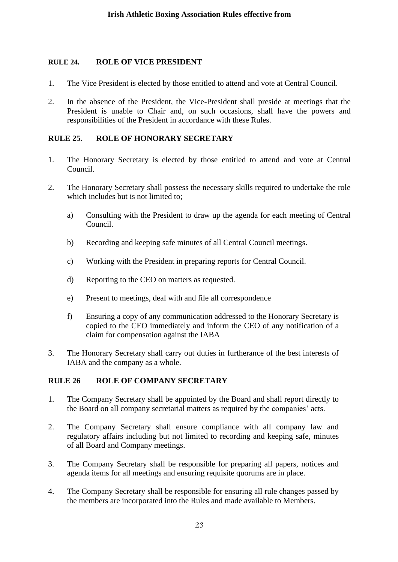### **RULE 24. ROLE OF VICE PRESIDENT**

- 1. The Vice President is elected by those entitled to attend and vote at Central Council.
- 2. In the absence of the President, the Vice-President shall preside at meetings that the President is unable to Chair and, on such occasions, shall have the powers and responsibilities of the President in accordance with these Rules.

## **RULE 25. ROLE OF HONORARY SECRETARY**

- 1. The Honorary Secretary is elected by those entitled to attend and vote at Central Council.
- 2. The Honorary Secretary shall possess the necessary skills required to undertake the role which includes but is not limited to:
	- a) Consulting with the President to draw up the agenda for each meeting of Central Council.
	- b) Recording and keeping safe minutes of all Central Council meetings.
	- c) Working with the President in preparing reports for Central Council.
	- d) Reporting to the CEO on matters as requested.
	- e) Present to meetings, deal with and file all correspondence
	- f) Ensuring a copy of any communication addressed to the Honorary Secretary is copied to the CEO immediately and inform the CEO of any notification of a claim for compensation against the IABA
- 3. The Honorary Secretary shall carry out duties in furtherance of the best interests of IABA and the company as a whole.

# **RULE 26 ROLE OF COMPANY SECRETARY**

- 1. The Company Secretary shall be appointed by the Board and shall report directly to the Board on all company secretarial matters as required by the companies' acts.
- 2. The Company Secretary shall ensure compliance with all company law and regulatory affairs including but not limited to recording and keeping safe, minutes of all Board and Company meetings.
- 3. The Company Secretary shall be responsible for preparing all papers, notices and agenda items for all meetings and ensuring requisite quorums are in place.
- 4. The Company Secretary shall be responsible for ensuring all rule changes passed by the members are incorporated into the Rules and made available to Members.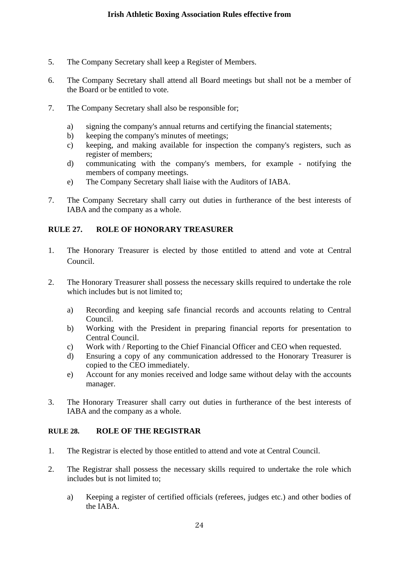- 5. The Company Secretary shall keep a Register of Members.
- 6. The Company Secretary shall attend all Board meetings but shall not be a member of the Board or be entitled to vote.
- 7. The Company Secretary shall also be responsible for;
	- a) signing the company's annual returns and certifying the financial statements;
	- b) keeping the company's minutes of meetings;
	- c) keeping, and making available for inspection the company's registers, such as register of members;
	- d) communicating with the company's members, for example notifying the members of company meetings.
	- e) The Company Secretary shall liaise with the Auditors of IABA.
- 7. The Company Secretary shall carry out duties in furtherance of the best interests of IABA and the company as a whole.

### **RULE 27. ROLE OF HONORARY TREASURER**

- 1. The Honorary Treasurer is elected by those entitled to attend and vote at Central Council.
- 2. The Honorary Treasurer shall possess the necessary skills required to undertake the role which includes but is not limited to:
	- a) Recording and keeping safe financial records and accounts relating to Central Council.
	- b) Working with the President in preparing financial reports for presentation to Central Council.
	- c) Work with / Reporting to the Chief Financial Officer and CEO when requested.
	- d) Ensuring a copy of any communication addressed to the Honorary Treasurer is copied to the CEO immediately.
	- e) Account for any monies received and lodge same without delay with the accounts manager.
- 3. The Honorary Treasurer shall carry out duties in furtherance of the best interests of IABA and the company as a whole.

### **RULE 28. ROLE OF THE REGISTRAR**

- 1. The Registrar is elected by those entitled to attend and vote at Central Council.
- 2. The Registrar shall possess the necessary skills required to undertake the role which includes but is not limited to;
	- a) Keeping a register of certified officials (referees, judges etc.) and other bodies of the IABA.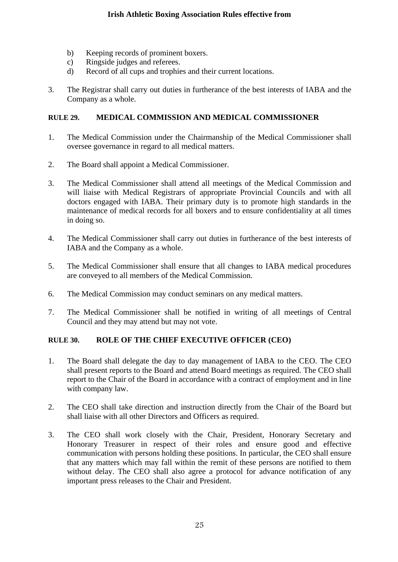- b) Keeping records of prominent boxers.
- c) Ringside judges and referees.
- d) Record of all cups and trophies and their current locations.
- 3. The Registrar shall carry out duties in furtherance of the best interests of IABA and the Company as a whole.

# **RULE 29. MEDICAL COMMISSION AND MEDICAL COMMISSIONER**

- 1. The Medical Commission under the Chairmanship of the Medical Commissioner shall oversee governance in regard to all medical matters.
- 2. The Board shall appoint a Medical Commissioner.
- 3. The Medical Commissioner shall attend all meetings of the Medical Commission and will liaise with Medical Registrars of appropriate Provincial Councils and with all doctors engaged with IABA. Their primary duty is to promote high standards in the maintenance of medical records for all boxers and to ensure confidentiality at all times in doing so.
- 4. The Medical Commissioner shall carry out duties in furtherance of the best interests of IABA and the Company as a whole.
- 5. The Medical Commissioner shall ensure that all changes to IABA medical procedures are conveyed to all members of the Medical Commission.
- 6. The Medical Commission may conduct seminars on any medical matters.
- 7. The Medical Commissioner shall be notified in writing of all meetings of Central Council and they may attend but may not vote.

# **RULE 30. ROLE OF THE CHIEF EXECUTIVE OFFICER (CEO)**

- 1. The Board shall delegate the day to day management of IABA to the CEO. The CEO shall present reports to the Board and attend Board meetings as required. The CEO shall report to the Chair of the Board in accordance with a contract of employment and in line with company law.
- 2. The CEO shall take direction and instruction directly from the Chair of the Board but shall liaise with all other Directors and Officers as required.
- 3. The CEO shall work closely with the Chair, President, Honorary Secretary and Honorary Treasurer in respect of their roles and ensure good and effective communication with persons holding these positions. In particular, the CEO shall ensure that any matters which may fall within the remit of these persons are notified to them without delay. The CEO shall also agree a protocol for advance notification of any important press releases to the Chair and President.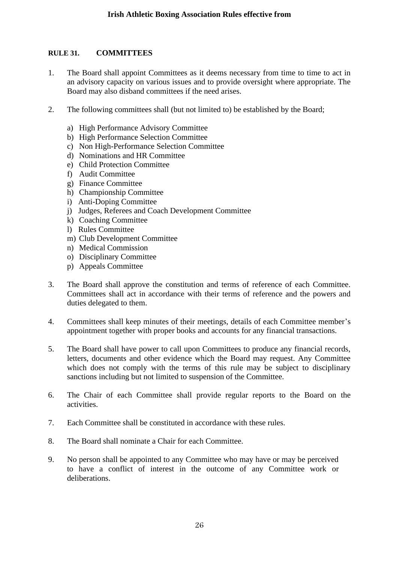## **RULE 31. COMMITTEES**

- 1. The Board shall appoint Committees as it deems necessary from time to time to act in an advisory capacity on various issues and to provide oversight where appropriate. The Board may also disband committees if the need arises.
- 2. The following committees shall (but not limited to) be established by the Board;
	- a) High Performance Advisory Committee
	- b) High Performance Selection Committee
	- c) Non High-Performance Selection Committee
	- d) Nominations and HR Committee
	- e) Child Protection Committee
	- f) Audit Committee
	- g) Finance Committee
	- h) Championship Committee
	- i) Anti-Doping Committee
	- j) Judges, Referees and Coach Development Committee
	- k) Coaching Committee
	- l) Rules Committee
	- m) Club Development Committee
	- n) Medical Commission
	- o) Disciplinary Committee
	- p) Appeals Committee
- 3. The Board shall approve the constitution and terms of reference of each Committee. Committees shall act in accordance with their terms of reference and the powers and duties delegated to them.
- 4. Committees shall keep minutes of their meetings, details of each Committee member's appointment together with proper books and accounts for any financial transactions.
- 5. The Board shall have power to call upon Committees to produce any financial records, letters, documents and other evidence which the Board may request. Any Committee which does not comply with the terms of this rule may be subject to disciplinary sanctions including but not limited to suspension of the Committee.
- 6. The Chair of each Committee shall provide regular reports to the Board on the activities.
- 7. Each Committee shall be constituted in accordance with these rules.
- 8. The Board shall nominate a Chair for each Committee.
- 9. No person shall be appointed to any Committee who may have or may be perceived to have a conflict of interest in the outcome of any Committee work or deliberations.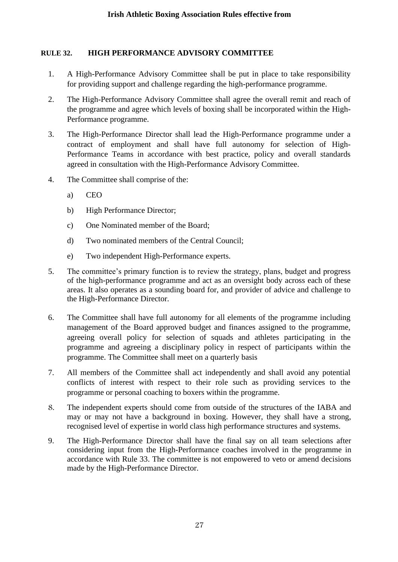## **RULE 32. HIGH PERFORMANCE ADVISORY COMMITTEE**

- 1. A High-Performance Advisory Committee shall be put in place to take responsibility for providing support and challenge regarding the high-performance programme.
- 2. The High-Performance Advisory Committee shall agree the overall remit and reach of the programme and agree which levels of boxing shall be incorporated within the High-Performance programme.
- 3. The High-Performance Director shall lead the High-Performance programme under a contract of employment and shall have full autonomy for selection of High-Performance Teams in accordance with best practice, policy and overall standards agreed in consultation with the High-Performance Advisory Committee.
- 4. The Committee shall comprise of the:
	- a) CEO
	- b) High Performance Director;
	- c) One Nominated member of the Board;
	- d) Two nominated members of the Central Council;
	- e) Two independent High-Performance experts.
- 5. The committee's primary function is to review the strategy, plans, budget and progress of the high-performance programme and act as an oversight body across each of these areas. It also operates as a sounding board for, and provider of advice and challenge to the High-Performance Director.
- 6. The Committee shall have full autonomy for all elements of the programme including management of the Board approved budget and finances assigned to the programme, agreeing overall policy for selection of squads and athletes participating in the programme and agreeing a disciplinary policy in respect of participants within the programme. The Committee shall meet on a quarterly basis
- 7. All members of the Committee shall act independently and shall avoid any potential conflicts of interest with respect to their role such as providing services to the programme or personal coaching to boxers within the programme.
- 8. The independent experts should come from outside of the structures of the IABA and may or may not have a background in boxing. However, they shall have a strong, recognised level of expertise in world class high performance structures and systems.
- 9. The High-Performance Director shall have the final say on all team selections after considering input from the High-Performance coaches involved in the programme in accordance with Rule 33. The committee is not empowered to veto or amend decisions made by the High-Performance Director.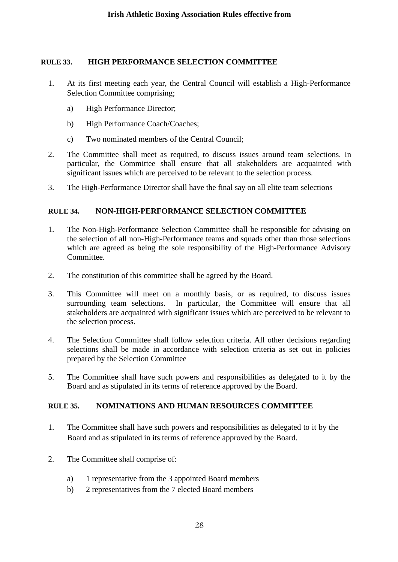## **RULE 33. HIGH PERFORMANCE SELECTION COMMITTEE**

- 1. At its first meeting each year, the Central Council will establish a High-Performance Selection Committee comprising;
	- a) High Performance Director;
	- b) High Performance Coach/Coaches;
	- c) Two nominated members of the Central Council;
- 2. The Committee shall meet as required, to discuss issues around team selections. In particular, the Committee shall ensure that all stakeholders are acquainted with significant issues which are perceived to be relevant to the selection process.
- 3. The High-Performance Director shall have the final say on all elite team selections

# **RULE 34. NON-HIGH-PERFORMANCE SELECTION COMMITTEE**

- 1. The Non-High-Performance Selection Committee shall be responsible for advising on the selection of all non-High-Performance teams and squads other than those selections which are agreed as being the sole responsibility of the High-Performance Advisory Committee.
- 2. The constitution of this committee shall be agreed by the Board.
- 3. This Committee will meet on a monthly basis, or as required, to discuss issues surrounding team selections. In particular, the Committee will ensure that all stakeholders are acquainted with significant issues which are perceived to be relevant to the selection process.
- 4. The Selection Committee shall follow selection criteria. All other decisions regarding selections shall be made in accordance with selection criteria as set out in policies prepared by the Selection Committee
- 5. The Committee shall have such powers and responsibilities as delegated to it by the Board and as stipulated in its terms of reference approved by the Board.

# **RULE 35. NOMINATIONS AND HUMAN RESOURCES COMMITTEE**

- 1. The Committee shall have such powers and responsibilities as delegated to it by the Board and as stipulated in its terms of reference approved by the Board.
- 2. The Committee shall comprise of:
	- a) 1 representative from the 3 appointed Board members
	- b) 2 representatives from the 7 elected Board members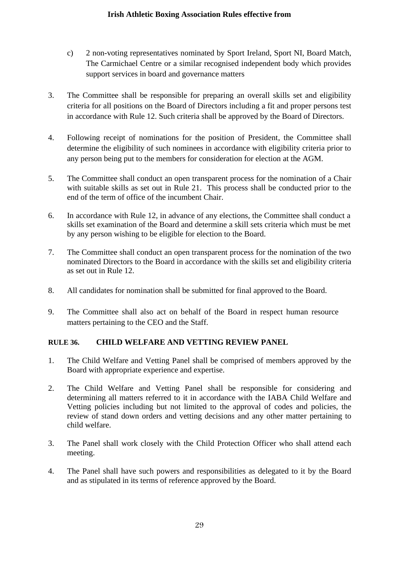- c) 2 non-voting representatives nominated by Sport Ireland, Sport NI, Board Match, The Carmichael Centre or a similar recognised independent body which provides support services in board and governance matters
- 3. The Committee shall be responsible for preparing an overall skills set and eligibility criteria for all positions on the Board of Directors including a fit and proper persons test in accordance with Rule 12. Such criteria shall be approved by the Board of Directors.
- 4. Following receipt of nominations for the position of President, the Committee shall determine the eligibility of such nominees in accordance with eligibility criteria prior to any person being put to the members for consideration for election at the AGM.
- 5. The Committee shall conduct an open transparent process for the nomination of a Chair with suitable skills as set out in Rule 21. This process shall be conducted prior to the end of the term of office of the incumbent Chair.
- 6. In accordance with Rule 12, in advance of any elections, the Committee shall conduct a skills set examination of the Board and determine a skill sets criteria which must be met by any person wishing to be eligible for election to the Board.
- 7. The Committee shall conduct an open transparent process for the nomination of the two nominated Directors to the Board in accordance with the skills set and eligibility criteria as set out in Rule 12.
- 8. All candidates for nomination shall be submitted for final approved to the Board.
- 9. The Committee shall also act on behalf of the Board in respect human resource matters pertaining to the CEO and the Staff.

# **RULE 36. CHILD WELFARE AND VETTING REVIEW PANEL**

- 1. The Child Welfare and Vetting Panel shall be comprised of members approved by the Board with appropriate experience and expertise.
- 2. The Child Welfare and Vetting Panel shall be responsible for considering and determining all matters referred to it in accordance with the IABA Child Welfare and Vetting policies including but not limited to the approval of codes and policies, the review of stand down orders and vetting decisions and any other matter pertaining to child welfare.
- 3. The Panel shall work closely with the Child Protection Officer who shall attend each meeting.
- 4. The Panel shall have such powers and responsibilities as delegated to it by the Board and as stipulated in its terms of reference approved by the Board.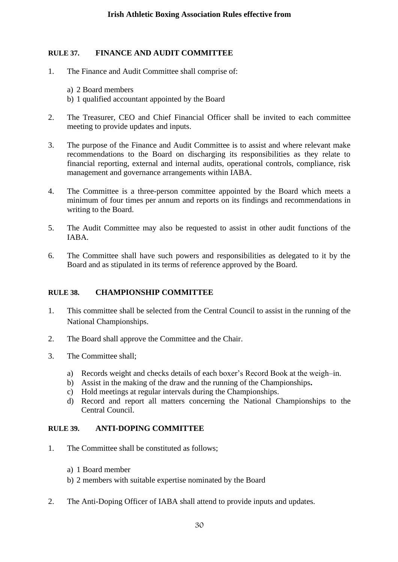# **RULE 37. FINANCE AND AUDIT COMMITTEE**

- 1. The Finance and Audit Committee shall comprise of:
	- a) 2 Board members
	- b) 1 qualified accountant appointed by the Board
- 2. The Treasurer, CEO and Chief Financial Officer shall be invited to each committee meeting to provide updates and inputs.
- 3. The purpose of the Finance and Audit Committee is to assist and where relevant make recommendations to the Board on discharging its responsibilities as they relate to financial reporting, external and internal audits, operational controls, compliance, risk management and governance arrangements within IABA.
- 4. The Committee is a three-person committee appointed by the Board which meets a minimum of four times per annum and reports on its findings and recommendations in writing to the Board.
- 5. The Audit Committee may also be requested to assist in other audit functions of the IABA.
- 6. The Committee shall have such powers and responsibilities as delegated to it by the Board and as stipulated in its terms of reference approved by the Board.

# **RULE 38. CHAMPIONSHIP COMMITTEE**

- 1. This committee shall be selected from the Central Council to assist in the running of the National Championships.
- 2. The Board shall approve the Committee and the Chair.
- 3. The Committee shall;
	- a) Records weight and checks details of each boxer's Record Book at the weigh–in.
	- b) Assist in the making of the draw and the running of the Championships**.**
	- c) Hold meetings at regular intervals during the Championships.
	- d) Record and report all matters concerning the National Championships to the Central Council.

# **RULE 39. ANTI-DOPING COMMITTEE**

- 1. The Committee shall be constituted as follows;
	- a) 1 Board member
	- b) 2 members with suitable expertise nominated by the Board
- 2. The Anti-Doping Officer of IABA shall attend to provide inputs and updates.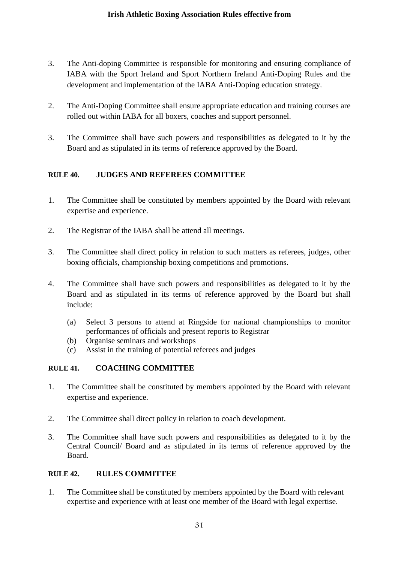- 3. The Anti-doping Committee is responsible for monitoring and ensuring compliance of IABA with the Sport Ireland and Sport Northern Ireland Anti-Doping Rules and the development and implementation of the IABA Anti-Doping education strategy.
- 2. The Anti-Doping Committee shall ensure appropriate education and training courses are rolled out within IABA for all boxers, coaches and support personnel.
- 3. The Committee shall have such powers and responsibilities as delegated to it by the Board and as stipulated in its terms of reference approved by the Board.

# **RULE 40. JUDGES AND REFEREES COMMITTEE**

- 1. The Committee shall be constituted by members appointed by the Board with relevant expertise and experience.
- 2. The Registrar of the IABA shall be attend all meetings.
- 3. The Committee shall direct policy in relation to such matters as referees, judges, other boxing officials, championship boxing competitions and promotions.
- 4. The Committee shall have such powers and responsibilities as delegated to it by the Board and as stipulated in its terms of reference approved by the Board but shall include:
	- (a) Select 3 persons to attend at Ringside for national championships to monitor performances of officials and present reports to Registrar
	- (b) Organise seminars and workshops
	- (c) Assist in the training of potential referees and judges

# **RULE 41. COACHING COMMITTEE**

- 1. The Committee shall be constituted by members appointed by the Board with relevant expertise and experience.
- 2. The Committee shall direct policy in relation to coach development.
- 3. The Committee shall have such powers and responsibilities as delegated to it by the Central Council/ Board and as stipulated in its terms of reference approved by the Board.

# **RULE 42. RULES COMMITTEE**

1. The Committee shall be constituted by members appointed by the Board with relevant expertise and experience with at least one member of the Board with legal expertise.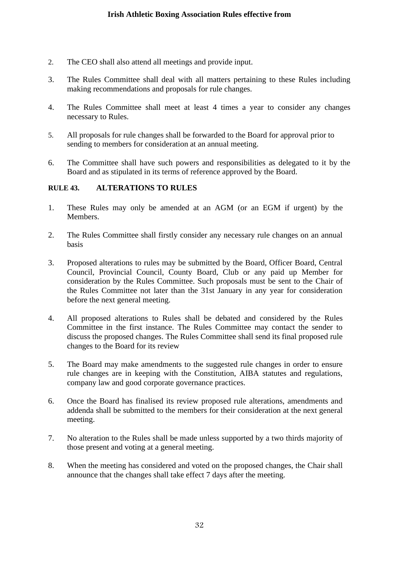- 2. The CEO shall also attend all meetings and provide input.
- 3. The Rules Committee shall deal with all matters pertaining to these Rules including making recommendations and proposals for rule changes.
- 4. The Rules Committee shall meet at least 4 times a year to consider any changes necessary to Rules.
- 5. All proposals for rule changes shall be forwarded to the Board for approval prior to sending to members for consideration at an annual meeting.
- 6. The Committee shall have such powers and responsibilities as delegated to it by the Board and as stipulated in its terms of reference approved by the Board.

### **RULE 43. ALTERATIONS TO RULES**

- 1. These Rules may only be amended at an AGM (or an EGM if urgent) by the Members.
- 2. The Rules Committee shall firstly consider any necessary rule changes on an annual basis
- 3. Proposed alterations to rules may be submitted by the Board, Officer Board, Central Council, Provincial Council, County Board, Club or any paid up Member for consideration by the Rules Committee. Such proposals must be sent to the Chair of the Rules Committee not later than the 31st January in any year for consideration before the next general meeting.
- 4. All proposed alterations to Rules shall be debated and considered by the Rules Committee in the first instance. The Rules Committee may contact the sender to discuss the proposed changes. The Rules Committee shall send its final proposed rule changes to the Board for its review
- 5. The Board may make amendments to the suggested rule changes in order to ensure rule changes are in keeping with the Constitution, AIBA statutes and regulations, company law and good corporate governance practices.
- 6. Once the Board has finalised its review proposed rule alterations, amendments and addenda shall be submitted to the members for their consideration at the next general meeting.
- 7. No alteration to the Rules shall be made unless supported by a two thirds majority of those present and voting at a general meeting.
- 8. When the meeting has considered and voted on the proposed changes, the Chair shall announce that the changes shall take effect 7 days after the meeting.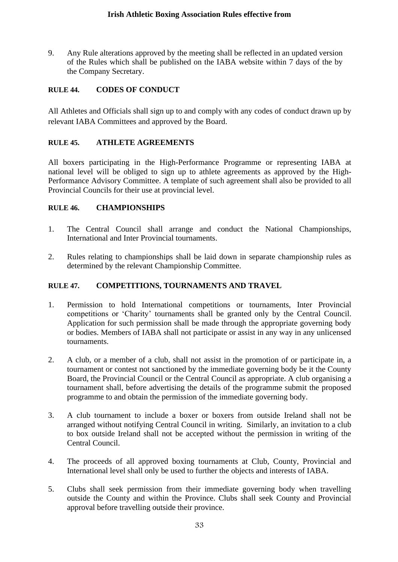9. Any Rule alterations approved by the meeting shall be reflected in an updated version of the Rules which shall be published on the IABA website within 7 days of the by the Company Secretary.

## **RULE 44. CODES OF CONDUCT**

All Athletes and Officials shall sign up to and comply with any codes of conduct drawn up by relevant IABA Committees and approved by the Board.

#### **RULE 45. ATHLETE AGREEMENTS**

All boxers participating in the High-Performance Programme or representing IABA at national level will be obliged to sign up to athlete agreements as approved by the High-Performance Advisory Committee. A template of such agreement shall also be provided to all Provincial Councils for their use at provincial level.

### **RULE 46. CHAMPIONSHIPS**

- 1. The Central Council shall arrange and conduct the National Championships, International and Inter Provincial tournaments.
- 2. Rules relating to championships shall be laid down in separate championship rules as determined by the relevant Championship Committee.

### **RULE 47. COMPETITIONS, TOURNAMENTS AND TRAVEL**

- 1. Permission to hold International competitions or tournaments, Inter Provincial competitions or 'Charity' tournaments shall be granted only by the Central Council. Application for such permission shall be made through the appropriate governing body or bodies. Members of IABA shall not participate or assist in any way in any unlicensed tournaments.
- 2. A club, or a member of a club, shall not assist in the promotion of or participate in, a tournament or contest not sanctioned by the immediate governing body be it the County Board, the Provincial Council or the Central Council as appropriate. A club organising a tournament shall, before advertising the details of the programme submit the proposed programme to and obtain the permission of the immediate governing body.
- 3. A club tournament to include a boxer or boxers from outside Ireland shall not be arranged without notifying Central Council in writing. Similarly, an invitation to a club to box outside Ireland shall not be accepted without the permission in writing of the Central Council.
- 4. The proceeds of all approved boxing tournaments at Club, County, Provincial and International level shall only be used to further the objects and interests of IABA.
- 5. Clubs shall seek permission from their immediate governing body when travelling outside the County and within the Province. Clubs shall seek County and Provincial approval before travelling outside their province.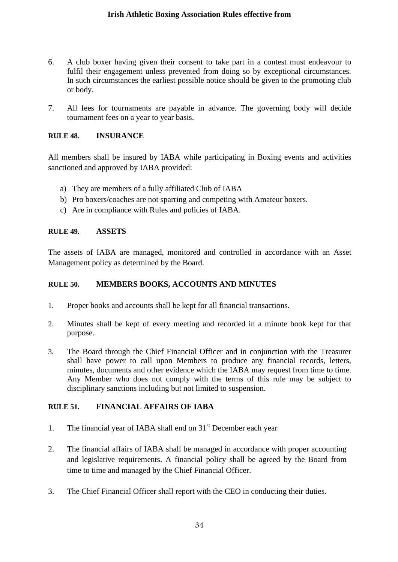- 6. A club boxer having given their consent to take part in a contest must endeavour to fulfil their engagement unless prevented from doing so by exceptional circumstances. In such circumstances the earliest possible notice should be given to the promoting club or body.
- 7. All fees for tournaments are payable in advance. The governing body will decide tournament fees on a year to year basis.

#### **RULE 48. INSURANCE**

All members shall be insured by IABA while participating in Boxing events and activities sanctioned and approved by IABA provided:

- a) They are members of a fully affiliated Club of IABA
- b) Pro boxers/coaches are not sparring and competing with Amateur boxers.
- c) Are in compliance with Rules and policies of IABA.

#### **RULE 49. ASSETS**

The assets of IABA are managed, monitored and controlled in accordance with an Asset Management policy as determined by the Board.

### **RULE 50. MEMBERS BOOKS, ACCOUNTS AND MINUTES**

- 1. Proper books and accounts shall be kept for all financial transactions.
- 2. Minutes shall be kept of every meeting and recorded in a minute book kept for that purpose.
- 3. The Board through the Chief Financial Officer and in conjunction with the Treasurer shall have power to call upon Members to produce any financial records, letters, minutes, documents and other evidence which the IABA may request from time to time. Any Member who does not comply with the terms of this rule may be subject to disciplinary sanctions including but not limited to suspension.

### **RULE 51. FINANCIAL AFFAIRS OF IABA**

- 1. The financial year of IABA shall end on 31st December each year
- 2. The financial affairs of IABA shall be managed in accordance with proper accounting and legislative requirements. A financial policy shall be agreed by the Board from time to time and managed by the Chief Financial Officer.
- 3. The Chief Financial Officer shall report with the CEO in conducting their duties.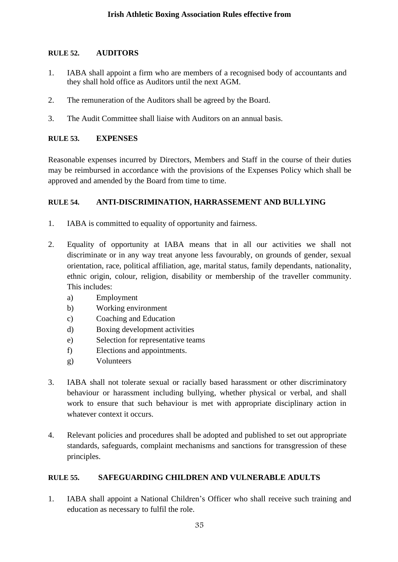# **RULE 52. AUDITORS**

- 1. IABA shall appoint a firm who are members of a recognised body of accountants and they shall hold office as Auditors until the next AGM.
- 2. The remuneration of the Auditors shall be agreed by the Board.
- 3. The Audit Committee shall liaise with Auditors on an annual basis.

# **RULE 53. EXPENSES**

Reasonable expenses incurred by Directors, Members and Staff in the course of their duties may be reimbursed in accordance with the provisions of the Expenses Policy which shall be approved and amended by the Board from time to time.

# **RULE 54. ANTI-DISCRIMINATION, HARRASSEMENT AND BULLYING**

- 1. IABA is committed to equality of opportunity and fairness.
- 2. Equality of opportunity at IABA means that in all our activities we shall not discriminate or in any way treat anyone less favourably, on grounds of gender, sexual orientation, race, political affiliation, age, marital status, family dependants, nationality, ethnic origin, colour, religion, disability or membership of the traveller community. This includes:
	- a) Employment
	- b) Working environment
	- c) Coaching and Education
	- d) Boxing development activities
	- e) Selection for representative teams
	- f) Elections and appointments.
	- g) Volunteers
- 3. IABA shall not tolerate sexual or racially based harassment or other discriminatory behaviour or harassment including bullying, whether physical or verbal, and shall work to ensure that such behaviour is met with appropriate disciplinary action in whatever context it occurs.
- 4. Relevant policies and procedures shall be adopted and published to set out appropriate standards, safeguards, complaint mechanisms and sanctions for transgression of these principles.

# **RULE 55. SAFEGUARDING CHILDREN AND VULNERABLE ADULTS**

1. IABA shall appoint a National Children's Officer who shall receive such training and education as necessary to fulfil the role.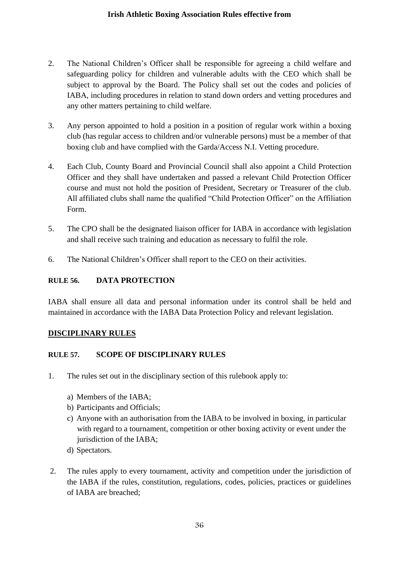- 2. The National Children's Officer shall be responsible for agreeing a child welfare and safeguarding policy for children and vulnerable adults with the CEO which shall be subject to approval by the Board. The Policy shall set out the codes and policies of IABA, including procedures in relation to stand down orders and vetting procedures and any other matters pertaining to child welfare.
- 3. Any person appointed to hold a position in a position of regular work within a boxing club (has regular access to children and/or vulnerable persons) must be a member of that boxing club and have complied with the Garda/Access N.I. Vetting procedure.
- 4. Each Club, County Board and Provincial Council shall also appoint a Child Protection Officer and they shall have undertaken and passed a relevant Child Protection Officer course and must not hold the position of President, Secretary or Treasurer of the club. All affiliated clubs shall name the qualified "Child Protection Officer" on the Affiliation Form.
- 5. The CPO shall be the designated liaison officer for IABA in accordance with legislation and shall receive such training and education as necessary to fulfil the role.
- 6. The National Children's Officer shall report to the CEO on their activities.

# **RULE 56. DATA PROTECTION**

IABA shall ensure all data and personal information under its control shall be held and maintained in accordance with the IABA Data Protection Policy and relevant legislation.

# **DISCIPLINARY RULES**

# **RULE 57. SCOPE OF DISCIPLINARY RULES**

- 1. The rules set out in the disciplinary section of this rulebook apply to:
	- a) Members of the IABA;
	- b) Participants and Officials;
	- c) Anyone with an authorisation from the IABA to be involved in boxing, in particular with regard to a tournament, competition or other boxing activity or event under the jurisdiction of the IABA;
	- d) Spectators.
- 2. The rules apply to every tournament, activity and competition under the jurisdiction of the IABA if the rules, constitution, regulations, codes, policies, practices or guidelines of IABA are breached;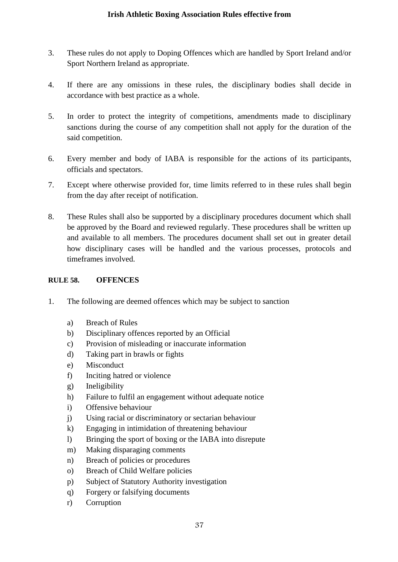- 3. These rules do not apply to Doping Offences which are handled by Sport Ireland and/or Sport Northern Ireland as appropriate.
- 4. If there are any omissions in these rules, the disciplinary bodies shall decide in accordance with best practice as a whole.
- 5. In order to protect the integrity of competitions, amendments made to disciplinary sanctions during the course of any competition shall not apply for the duration of the said competition.
- 6. Every member and body of IABA is responsible for the actions of its participants, officials and spectators.
- 7. Except where otherwise provided for, time limits referred to in these rules shall begin from the day after receipt of notification.
- 8. These Rules shall also be supported by a disciplinary procedures document which shall be approved by the Board and reviewed regularly. These procedures shall be written up and available to all members. The procedures document shall set out in greater detail how disciplinary cases will be handled and the various processes, protocols and timeframes involved.

### **RULE 58. OFFENCES**

- 1. The following are deemed offences which may be subject to sanction
	- a) Breach of Rules
	- b) Disciplinary offences reported by an Official
	- c) Provision of misleading or inaccurate information
	- d) Taking part in brawls or fights
	- e) Misconduct
	- f) Inciting hatred or violence
	- g) Ineligibility
	- h) Failure to fulfil an engagement without adequate notice
	- i) Offensive behaviour
	- j) Using racial or discriminatory or sectarian behaviour
	- k) Engaging in intimidation of threatening behaviour
	- l) Bringing the sport of boxing or the IABA into disrepute
	- m) Making disparaging comments
	- n) Breach of policies or procedures
	- o) Breach of Child Welfare policies
	- p) Subject of Statutory Authority investigation
	- q) Forgery or falsifying documents
	- r) Corruption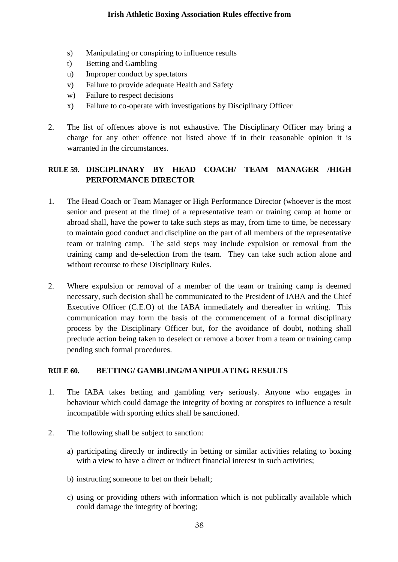- s) Manipulating or conspiring to influence results
- t) Betting and Gambling
- u) Improper conduct by spectators
- v) Failure to provide adequate Health and Safety
- w) Failure to respect decisions
- x) Failure to co-operate with investigations by Disciplinary Officer
- 2. The list of offences above is not exhaustive. The Disciplinary Officer may bring a charge for any other offence not listed above if in their reasonable opinion it is warranted in the circumstances.

# **RULE 59. DISCIPLINARY BY HEAD COACH/ TEAM MANAGER /HIGH PERFORMANCE DIRECTOR**

- 1. The Head Coach or Team Manager or High Performance Director (whoever is the most senior and present at the time) of a representative team or training camp at home or abroad shall, have the power to take such steps as may, from time to time, be necessary to maintain good conduct and discipline on the part of all members of the representative team or training camp. The said steps may include expulsion or removal from the training camp and de-selection from the team. They can take such action alone and without recourse to these Disciplinary Rules.
- 2. Where expulsion or removal of a member of the team or training camp is deemed necessary, such decision shall be communicated to the President of IABA and the Chief Executive Officer (C.E.O) of the IABA immediately and thereafter in writing. This communication may form the basis of the commencement of a formal disciplinary process by the Disciplinary Officer but, for the avoidance of doubt, nothing shall preclude action being taken to deselect or remove a boxer from a team or training camp pending such formal procedures.

# **RULE 60. BETTING/ GAMBLING/MANIPULATING RESULTS**

- 1. The IABA takes betting and gambling very seriously. Anyone who engages in behaviour which could damage the integrity of boxing or conspires to influence a result incompatible with sporting ethics shall be sanctioned.
- 2. The following shall be subject to sanction:
	- a) participating directly or indirectly in betting or similar activities relating to boxing with a view to have a direct or indirect financial interest in such activities;
	- b) instructing someone to bet on their behalf;
	- c) using or providing others with information which is not publically available which could damage the integrity of boxing;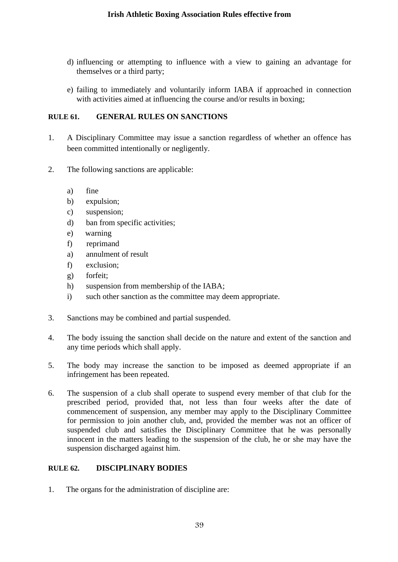- d) influencing or attempting to influence with a view to gaining an advantage for themselves or a third party;
- e) failing to immediately and voluntarily inform IABA if approached in connection with activities aimed at influencing the course and/or results in boxing;

## **RULE 61. GENERAL RULES ON SANCTIONS**

- 1. A Disciplinary Committee may issue a sanction regardless of whether an offence has been committed intentionally or negligently.
- 2. The following sanctions are applicable:
	- a) fine
	- b) expulsion;
	- c) suspension;
	- d) ban from specific activities;
	- e) warning
	- f) reprimand
	- a) annulment of result
	- f) exclusion;
	- g) forfeit;
	- h) suspension from membership of the IABA;
	- i) such other sanction as the committee may deem appropriate.
- 3. Sanctions may be combined and partial suspended.
- 4. The body issuing the sanction shall decide on the nature and extent of the sanction and any time periods which shall apply.
- 5. The body may increase the sanction to be imposed as deemed appropriate if an infringement has been repeated.
- 6. The suspension of a club shall operate to suspend every member of that club for the prescribed period, provided that, not less than four weeks after the date of commencement of suspension, any member may apply to the Disciplinary Committee for permission to join another club, and, provided the member was not an officer of suspended club and satisfies the Disciplinary Committee that he was personally innocent in the matters leading to the suspension of the club, he or she may have the suspension discharged against him.

# **RULE 62. DISCIPLINARY BODIES**

1. The organs for the administration of discipline are: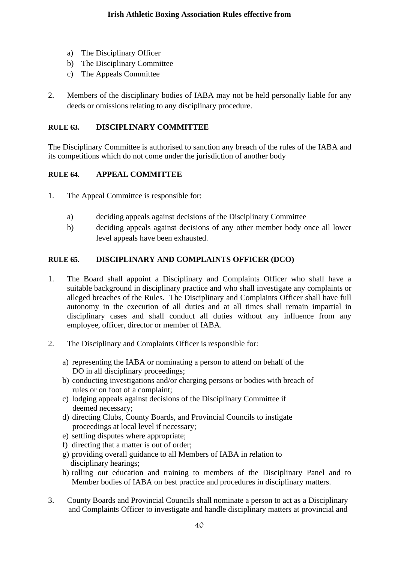- a) The Disciplinary Officer
- b) The Disciplinary Committee
- c) The Appeals Committee
- 2. Members of the disciplinary bodies of IABA may not be held personally liable for any deeds or omissions relating to any disciplinary procedure.

# **RULE 63. DISCIPLINARY COMMITTEE**

The Disciplinary Committee is authorised to sanction any breach of the rules of the IABA and its competitions which do not come under the jurisdiction of another body

# **RULE 64. APPEAL COMMITTEE**

- 1. The Appeal Committee is responsible for:
	- a) deciding appeals against decisions of the Disciplinary Committee
	- b) deciding appeals against decisions of any other member body once all lower level appeals have been exhausted.

# **RULE 65. DISCIPLINARY AND COMPLAINTS OFFICER (DCO)**

- 1. The Board shall appoint a Disciplinary and Complaints Officer who shall have a suitable background in disciplinary practice and who shall investigate any complaints or alleged breaches of the Rules. The Disciplinary and Complaints Officer shall have full autonomy in the execution of all duties and at all times shall remain impartial in disciplinary cases and shall conduct all duties without any influence from any employee, officer, director or member of IABA.
- 2. The Disciplinary and Complaints Officer is responsible for:
	- a) representing the IABA or nominating a person to attend on behalf of the DO in all disciplinary proceedings;
	- b) conducting investigations and/or charging persons or bodies with breach of rules or on foot of a complaint;
	- c) lodging appeals against decisions of the Disciplinary Committee if deemed necessary;
	- d) directing Clubs, County Boards, and Provincial Councils to instigate proceedings at local level if necessary;
	- e) settling disputes where appropriate;
	- f) directing that a matter is out of order;
	- g) providing overall guidance to all Members of IABA in relation to disciplinary hearings;
	- h) rolling out education and training to members of the Disciplinary Panel and to Member bodies of IABA on best practice and procedures in disciplinary matters.
- 3. County Boards and Provincial Councils shall nominate a person to act as a Disciplinary and Complaints Officer to investigate and handle disciplinary matters at provincial and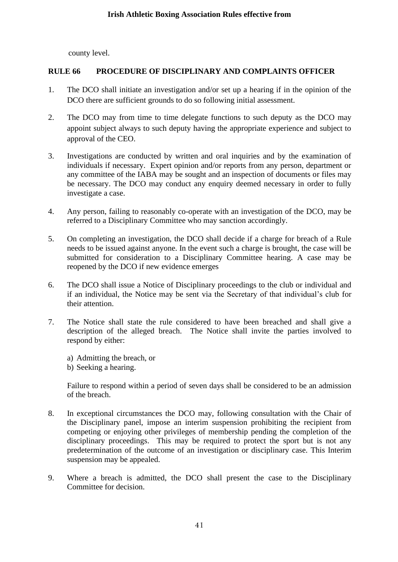county level.

### **RULE 66 PROCEDURE OF DISCIPLINARY AND COMPLAINTS OFFICER**

- 1. The DCO shall initiate an investigation and/or set up a hearing if in the opinion of the DCO there are sufficient grounds to do so following initial assessment.
- 2. The DCO may from time to time delegate functions to such deputy as the DCO may appoint subject always to such deputy having the appropriate experience and subject to approval of the CEO.
- 3. Investigations are conducted by written and oral inquiries and by the examination of individuals if necessary. Expert opinion and/or reports from any person, department or any committee of the IABA may be sought and an inspection of documents or files may be necessary. The DCO may conduct any enquiry deemed necessary in order to fully investigate a case.
- 4. Any person, failing to reasonably co-operate with an investigation of the DCO, may be referred to a Disciplinary Committee who may sanction accordingly.
- 5. On completing an investigation, the DCO shall decide if a charge for breach of a Rule needs to be issued against anyone. In the event such a charge is brought, the case will be submitted for consideration to a Disciplinary Committee hearing. A case may be reopened by the DCO if new evidence emerges
- 6. The DCO shall issue a Notice of Disciplinary proceedings to the club or individual and if an individual, the Notice may be sent via the Secretary of that individual's club for their attention.
- 7. The Notice shall state the rule considered to have been breached and shall give a description of the alleged breach. The Notice shall invite the parties involved to respond by either:
	- a) Admitting the breach, or
	- b) Seeking a hearing.

Failure to respond within a period of seven days shall be considered to be an admission of the breach.

- 8. In exceptional circumstances the DCO may, following consultation with the Chair of the Disciplinary panel, impose an interim suspension prohibiting the recipient from competing or enjoying other privileges of membership pending the completion of the disciplinary proceedings. This may be required to protect the sport but is not any predetermination of the outcome of an investigation or disciplinary case. This Interim suspension may be appealed.
- 9. Where a breach is admitted, the DCO shall present the case to the Disciplinary Committee for decision.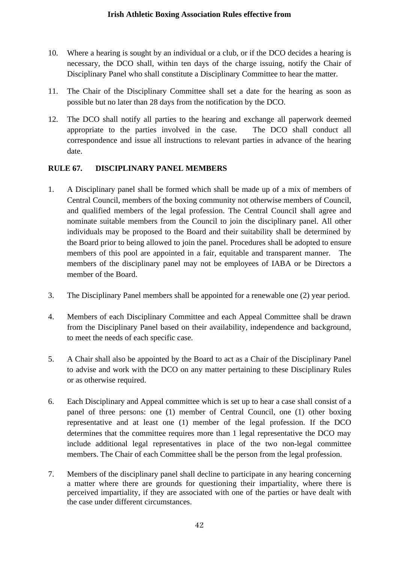- 10. Where a hearing is sought by an individual or a club, or if the DCO decides a hearing is necessary, the DCO shall, within ten days of the charge issuing, notify the Chair of Disciplinary Panel who shall constitute a Disciplinary Committee to hear the matter.
- 11. The Chair of the Disciplinary Committee shall set a date for the hearing as soon as possible but no later than 28 days from the notification by the DCO.
- 12. The DCO shall notify all parties to the hearing and exchange all paperwork deemed appropriate to the parties involved in the case. The DCO shall conduct all correspondence and issue all instructions to relevant parties in advance of the hearing date.

# **RULE 67. DISCIPLINARY PANEL MEMBERS**

- 1. A Disciplinary panel shall be formed which shall be made up of a mix of members of Central Council, members of the boxing community not otherwise members of Council, and qualified members of the legal profession. The Central Council shall agree and nominate suitable members from the Council to join the disciplinary panel. All other individuals may be proposed to the Board and their suitability shall be determined by the Board prior to being allowed to join the panel. Procedures shall be adopted to ensure members of this pool are appointed in a fair, equitable and transparent manner. The members of the disciplinary panel may not be employees of IABA or be Directors a member of the Board.
- 3. The Disciplinary Panel members shall be appointed for a renewable one (2) year period.
- 4. Members of each Disciplinary Committee and each Appeal Committee shall be drawn from the Disciplinary Panel based on their availability, independence and background, to meet the needs of each specific case.
- 5. A Chair shall also be appointed by the Board to act as a Chair of the Disciplinary Panel to advise and work with the DCO on any matter pertaining to these Disciplinary Rules or as otherwise required.
- 6. Each Disciplinary and Appeal committee which is set up to hear a case shall consist of a panel of three persons: one (1) member of Central Council, one (1) other boxing representative and at least one (1) member of the legal profession. If the DCO determines that the committee requires more than 1 legal representative the DCO may include additional legal representatives in place of the two non-legal committee members. The Chair of each Committee shall be the person from the legal profession.
- 7. Members of the disciplinary panel shall decline to participate in any hearing concerning a matter where there are grounds for questioning their impartiality, where there is perceived impartiality, if they are associated with one of the parties or have dealt with the case under different circumstances.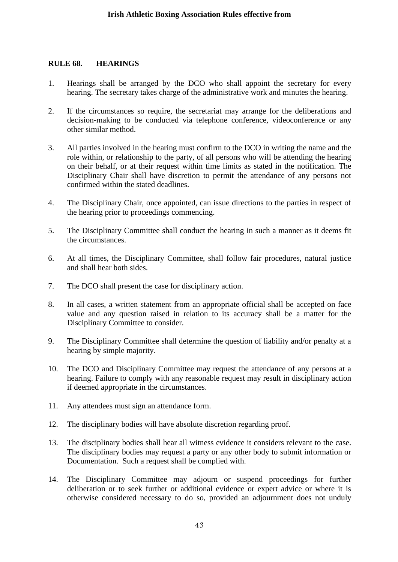#### **RULE 68. HEARINGS**

- 1. Hearings shall be arranged by the DCO who shall appoint the secretary for every hearing. The secretary takes charge of the administrative work and minutes the hearing.
- 2. If the circumstances so require, the secretariat may arrange for the deliberations and decision-making to be conducted via telephone conference, videoconference or any other similar method.
- 3. All parties involved in the hearing must confirm to the DCO in writing the name and the role within, or relationship to the party, of all persons who will be attending the hearing on their behalf, or at their request within time limits as stated in the notification. The Disciplinary Chair shall have discretion to permit the attendance of any persons not confirmed within the stated deadlines.
- 4. The Disciplinary Chair, once appointed, can issue directions to the parties in respect of the hearing prior to proceedings commencing.
- 5. The Disciplinary Committee shall conduct the hearing in such a manner as it deems fit the circumstances.
- 6. At all times, the Disciplinary Committee, shall follow fair procedures, natural justice and shall hear both sides.
- 7. The DCO shall present the case for disciplinary action.
- 8. In all cases, a written statement from an appropriate official shall be accepted on face value and any question raised in relation to its accuracy shall be a matter for the Disciplinary Committee to consider.
- 9. The Disciplinary Committee shall determine the question of liability and/or penalty at a hearing by simple majority.
- 10. The DCO and Disciplinary Committee may request the attendance of any persons at a hearing. Failure to comply with any reasonable request may result in disciplinary action if deemed appropriate in the circumstances.
- 11. Any attendees must sign an attendance form.
- 12. The disciplinary bodies will have absolute discretion regarding proof.
- 13. The disciplinary bodies shall hear all witness evidence it considers relevant to the case. The disciplinary bodies may request a party or any other body to submit information or Documentation. Such a request shall be complied with.
- 14. The Disciplinary Committee may adjourn or suspend proceedings for further deliberation or to seek further or additional evidence or expert advice or where it is otherwise considered necessary to do so, provided an adjournment does not unduly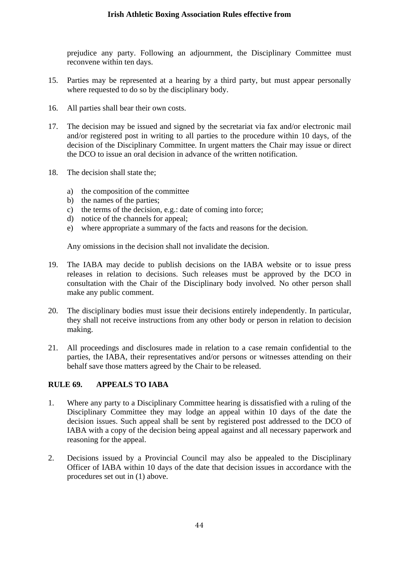prejudice any party. Following an adjournment, the Disciplinary Committee must reconvene within ten days.

- 15. Parties may be represented at a hearing by a third party, but must appear personally where requested to do so by the disciplinary body.
- 16. All parties shall bear their own costs.
- 17. The decision may be issued and signed by the secretariat via fax and/or electronic mail and/or registered post in writing to all parties to the procedure within 10 days, of the decision of the Disciplinary Committee. In urgent matters the Chair may issue or direct the DCO to issue an oral decision in advance of the written notification.
- 18. The decision shall state the;
	- a) the composition of the committee
	- b) the names of the parties;
	- c) the terms of the decision, e.g.: date of coming into force;
	- d) notice of the channels for appeal;
	- e) where appropriate a summary of the facts and reasons for the decision.

Any omissions in the decision shall not invalidate the decision.

- 19. The IABA may decide to publish decisions on the IABA website or to issue press releases in relation to decisions. Such releases must be approved by the DCO in consultation with the Chair of the Disciplinary body involved. No other person shall make any public comment.
- 20. The disciplinary bodies must issue their decisions entirely independently. In particular, they shall not receive instructions from any other body or person in relation to decision making.
- 21. All proceedings and disclosures made in relation to a case remain confidential to the parties, the IABA, their representatives and/or persons or witnesses attending on their behalf save those matters agreed by the Chair to be released.

### **RULE 69. APPEALS TO IABA**

- 1. Where any party to a Disciplinary Committee hearing is dissatisfied with a ruling of the Disciplinary Committee they may lodge an appeal within 10 days of the date the decision issues. Such appeal shall be sent by registered post addressed to the DCO of IABA with a copy of the decision being appeal against and all necessary paperwork and reasoning for the appeal.
- 2. Decisions issued by a Provincial Council may also be appealed to the Disciplinary Officer of IABA within 10 days of the date that decision issues in accordance with the procedures set out in (1) above.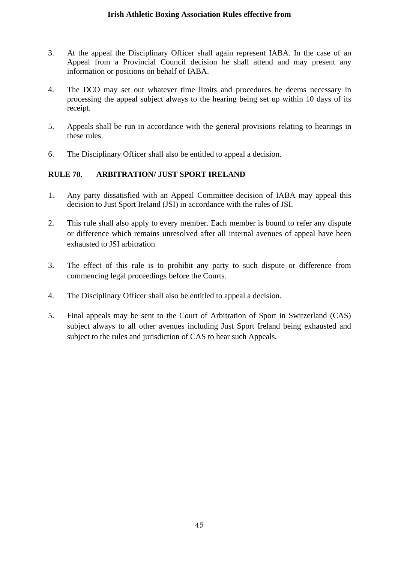- 3. At the appeal the Disciplinary Officer shall again represent IABA. In the case of an Appeal from a Provincial Council decision he shall attend and may present any information or positions on behalf of IABA.
- 4. The DCO may set out whatever time limits and procedures he deems necessary in processing the appeal subject always to the hearing being set up within 10 days of its receipt.
- 5. Appeals shall be run in accordance with the general provisions relating to hearings in these rules.
- 6. The Disciplinary Officer shall also be entitled to appeal a decision.

### **RULE 70. ARBITRATION/ JUST SPORT IRELAND**

- 1. Any party dissatisfied with an Appeal Committee decision of IABA may appeal this decision to Just Sport Ireland (JSI) in accordance with the rules of JSI.
- 2. This rule shall also apply to every member. Each member is bound to refer any dispute or difference which remains unresolved after all internal avenues of appeal have been exhausted to JSI arbitration
- 3. The effect of this rule is to prohibit any party to such dispute or difference from commencing legal proceedings before the Courts.
- 4. The Disciplinary Officer shall also be entitled to appeal a decision.
- 5. Final appeals may be sent to the Court of Arbitration of Sport in Switzerland (CAS) subject always to all other avenues including Just Sport Ireland being exhausted and subject to the rules and jurisdiction of CAS to hear such Appeals.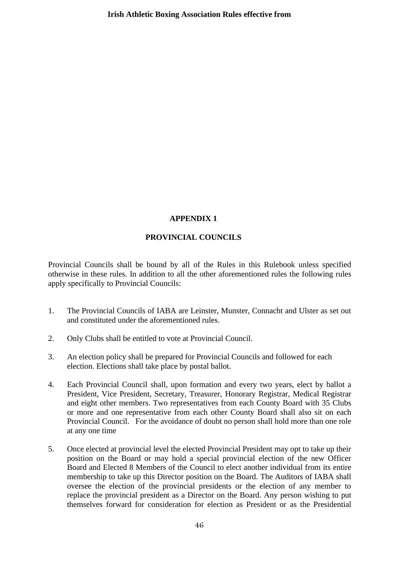#### **APPENDIX 1**

### **PROVINCIAL COUNCILS**

Provincial Councils shall be bound by all of the Rules in this Rulebook unless specified otherwise in these rules. In addition to all the other aforementioned rules the following rules apply specifically to Provincial Councils:

- 1. The Provincial Councils of IABA are Leinster, Munster, Connacht and Ulster as set out and constituted under the aforementioned rules.
- 2. Only Clubs shall be entitled to vote at Provincial Council.
- 3. An election policy shall be prepared for Provincial Councils and followed for each election. Elections shall take place by postal ballot.
- 4. Each Provincial Council shall, upon formation and every two years, elect by ballot a President, Vice President, Secretary, Treasurer, Honorary Registrar, Medical Registrar and eight other members. Two representatives from each County Board with 35 Clubs or more and one representative from each other County Board shall also sit on each Provincial Council. For the avoidance of doubt no person shall hold more than one role at any one time
- 5. Once elected at provincial level the elected Provincial President may opt to take up their position on the Board or may hold a special provincial election of the new Officer Board and Elected 8 Members of the Council to elect another individual from its entire membership to take up this Director position on the Board. The Auditors of IABA shall oversee the election of the provincial presidents or the election of any member to replace the provincial president as a Director on the Board. Any person wishing to put themselves forward for consideration for election as President or as the Presidential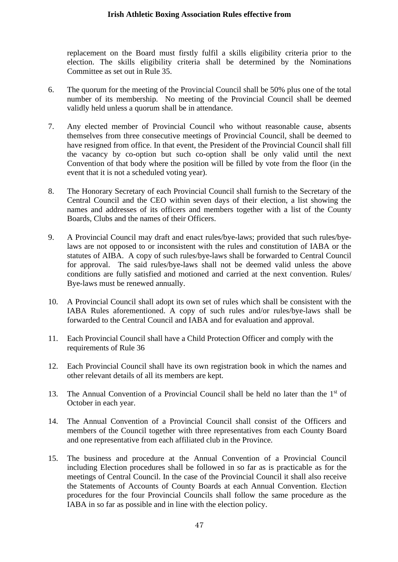replacement on the Board must firstly fulfil a skills eligibility criteria prior to the election. The skills eligibility criteria shall be determined by the Nominations Committee as set out in Rule 35.

- 6. The quorum for the meeting of the Provincial Council shall be 50% plus one of the total number of its membership. No meeting of the Provincial Council shall be deemed validly held unless a quorum shall be in attendance.
- 7. Any elected member of Provincial Council who without reasonable cause, absents themselves from three consecutive meetings of Provincial Council, shall be deemed to have resigned from office. In that event, the President of the Provincial Council shall fill the vacancy by co-option but such co-option shall be only valid until the next Convention of that body where the position will be filled by vote from the floor (in the event that it is not a scheduled voting year).
- 8. The Honorary Secretary of each Provincial Council shall furnish to the Secretary of the Central Council and the CEO within seven days of their election, a list showing the names and addresses of its officers and members together with a list of the County Boards, Clubs and the names of their Officers.
- 9. A Provincial Council may draft and enact rules/bye-laws; provided that such rules/byelaws are not opposed to or inconsistent with the rules and constitution of IABA or the statutes of AIBA. A copy of such rules/bye-laws shall be forwarded to Central Council for approval. The said rules/bye-laws shall not be deemed valid unless the above conditions are fully satisfied and motioned and carried at the next convention. Rules/ Bye-laws must be renewed annually.
- 10. A Provincial Council shall adopt its own set of rules which shall be consistent with the IABA Rules aforementioned. A copy of such rules and/or rules/bye-laws shall be forwarded to the Central Council and IABA and for evaluation and approval.
- 11. Each Provincial Council shall have a Child Protection Officer and comply with the requirements of Rule 36
- 12. Each Provincial Council shall have its own registration book in which the names and other relevant details of all its members are kept.
- 13. The Annual Convention of a Provincial Council shall be held no later than the  $1<sup>st</sup>$  of October in each year.
- 14. The Annual Convention of a Provincial Council shall consist of the Officers and members of the Council together with three representatives from each County Board and one representative from each affiliated club in the Province.
- 15. The business and procedure at the Annual Convention of a Provincial Council including Election procedures shall be followed in so far as is practicable as for the meetings of Central Council. In the case of the Provincial Council it shall also receive the Statements of Accounts of County Boards at each Annual Convention. Election procedures for the four Provincial Councils shall follow the same procedure as the IABA in so far as possible and in line with the election policy.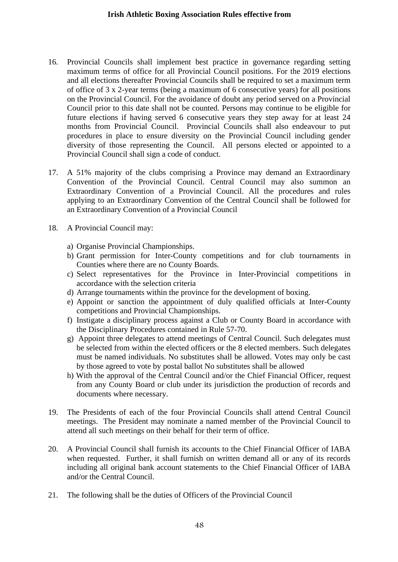- 16. Provincial Councils shall implement best practice in governance regarding setting maximum terms of office for all Provincial Council positions. For the 2019 elections and all elections thereafter Provincial Councils shall be required to set a maximum term of office of 3 x 2-year terms (being a maximum of 6 consecutive years) for all positions on the Provincial Council. For the avoidance of doubt any period served on a Provincial Council prior to this date shall not be counted. Persons may continue to be eligible for future elections if having served 6 consecutive years they step away for at least 24 months from Provincial Council. Provincial Councils shall also endeavour to put procedures in place to ensure diversity on the Provincial Council including gender diversity of those representing the Council. All persons elected or appointed to a Provincial Council shall sign a code of conduct.
- 17. A 51% majority of the clubs comprising a Province may demand an Extraordinary Convention of the Provincial Council. Central Council may also summon an Extraordinary Convention of a Provincial Council. All the procedures and rules applying to an Extraordinary Convention of the Central Council shall be followed for an Extraordinary Convention of a Provincial Council
- 18. A Provincial Council may:
	- a) Organise Provincial Championships.
	- b) Grant permission for Inter-County competitions and for club tournaments in Counties where there are no County Boards.
	- c) Select representatives for the Province in Inter-Provincial competitions in accordance with the selection criteria
	- d) Arrange tournaments within the province for the development of boxing.
	- e) Appoint or sanction the appointment of duly qualified officials at Inter-County competitions and Provincial Championships.
	- f) Instigate a disciplinary process against a Club or County Board in accordance with the Disciplinary Procedures contained in Rule 57-70.
	- g) Appoint three delegates to attend meetings of Central Council. Such delegates must be selected from within the elected officers or the 8 elected members. Such delegates must be named individuals. No substitutes shall be allowed. Votes may only be cast by those agreed to vote by postal ballot No substitutes shall be allowed
	- h) With the approval of the Central Council and/or the Chief Financial Officer, request from any County Board or club under its jurisdiction the production of records and documents where necessary.
- 19. The Presidents of each of the four Provincial Councils shall attend Central Council meetings. The President may nominate a named member of the Provincial Council to attend all such meetings on their behalf for their term of office.
- 20. A Provincial Council shall furnish its accounts to the Chief Financial Officer of IABA when requested. Further, it shall furnish on written demand all or any of its records including all original bank account statements to the Chief Financial Officer of IABA and/or the Central Council.
- 21. The following shall be the duties of Officers of the Provincial Council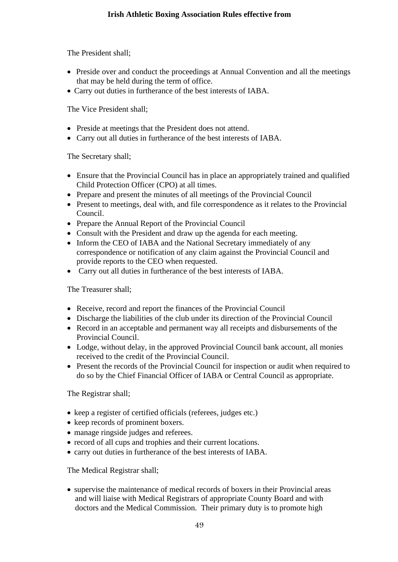The President shall;

- Preside over and conduct the proceedings at Annual Convention and all the meetings that may be held during the term of office.
- Carry out duties in furtherance of the best interests of IABA.

The Vice President shall;

- Preside at meetings that the President does not attend.
- Carry out all duties in furtherance of the best interests of IABA.

The Secretary shall;

- Ensure that the Provincial Council has in place an appropriately trained and qualified Child Protection Officer (CPO) at all times.
- Prepare and present the minutes of all meetings of the Provincial Council
- Present to meetings, deal with, and file correspondence as it relates to the Provincial Council.
- Prepare the Annual Report of the Provincial Council
- Consult with the President and draw up the agenda for each meeting.
- Inform the CEO of IABA and the National Secretary immediately of any correspondence or notification of any claim against the Provincial Council and provide reports to the CEO when requested.
- Carry out all duties in furtherance of the best interests of IABA.

The Treasurer shall;

- Receive, record and report the finances of the Provincial Council
- Discharge the liabilities of the club under its direction of the Provincial Council
- Record in an acceptable and permanent way all receipts and disbursements of the Provincial Council.
- Lodge, without delay, in the approved Provincial Council bank account, all monies received to the credit of the Provincial Council.
- Present the records of the Provincial Council for inspection or audit when required to do so by the Chief Financial Officer of IABA or Central Council as appropriate.

The Registrar shall;

- keep a register of certified officials (referees, judges etc.)
- keep records of prominent boxers.
- manage ringside judges and referees.
- record of all cups and trophies and their current locations.
- carry out duties in furtherance of the best interests of IABA.

The Medical Registrar shall;

• supervise the maintenance of medical records of boxers in their Provincial areas and will liaise with Medical Registrars of appropriate County Board and with doctors and the Medical Commission. Their primary duty is to promote high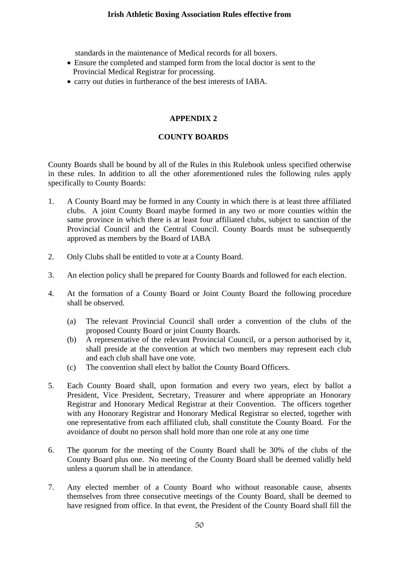standards in the maintenance of Medical records for all boxers.

- Ensure the completed and stamped form from the local doctor is sent to the Provincial Medical Registrar for processing.
- carry out duties in furtherance of the best interests of IABA.

## **APPENDIX 2**

## **COUNTY BOARDS**

County Boards shall be bound by all of the Rules in this Rulebook unless specified otherwise in these rules. In addition to all the other aforementioned rules the following rules apply specifically to County Boards:

- 1. A County Board may be formed in any County in which there is at least three affiliated clubs. A joint County Board maybe formed in any two or more counties within the same province in which there is at least four affiliated clubs, subject to sanction of the Provincial Council and the Central Council. County Boards must be subsequently approved as members by the Board of IABA
- 2. Only Clubs shall be entitled to vote at a County Board.
- 3. An election policy shall be prepared for County Boards and followed for each election.
- 4. At the formation of a County Board or Joint County Board the following procedure shall be observed.
	- (a) The relevant Provincial Council shall order a convention of the clubs of the proposed County Board or joint County Boards.
	- (b) A representative of the relevant Provincial Council, or a person authorised by it, shall preside at the convention at which two members may represent each club and each club shall have one vote.
	- (c) The convention shall elect by ballot the County Board Officers.
- 5. Each County Board shall, upon formation and every two years, elect by ballot a President, Vice President, Secretary, Treasurer and where appropriate an Honorary Registrar and Honorary Medical Registrar at their Convention. The officers together with any Honorary Registrar and Honorary Medical Registrar so elected, together with one representative from each affiliated club, shall constitute the County Board. For the avoidance of doubt no person shall hold more than one role at any one time
- 6. The quorum for the meeting of the County Board shall be 30% of the clubs of the County Board plus one. No meeting of the County Board shall be deemed validly held unless a quorum shall be in attendance.
- 7. Any elected member of a County Board who without reasonable cause, absents themselves from three consecutive meetings of the County Board, shall be deemed to have resigned from office. In that event, the President of the County Board shall fill the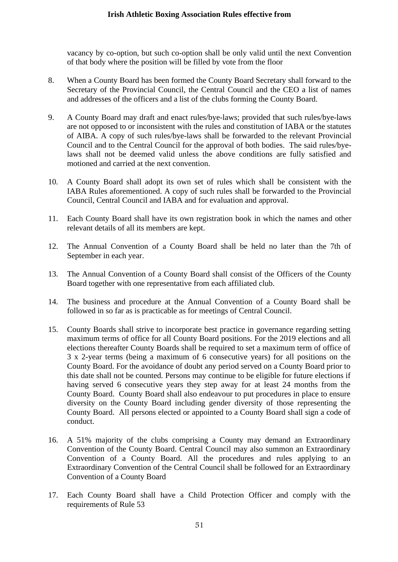vacancy by co-option, but such co-option shall be only valid until the next Convention of that body where the position will be filled by vote from the floor

- 8. When a County Board has been formed the County Board Secretary shall forward to the Secretary of the Provincial Council, the Central Council and the CEO a list of names and addresses of the officers and a list of the clubs forming the County Board.
- 9. A County Board may draft and enact rules/bye-laws; provided that such rules/bye-laws are not opposed to or inconsistent with the rules and constitution of IABA or the statutes of AIBA. A copy of such rules/bye-laws shall be forwarded to the relevant Provincial Council and to the Central Council for the approval of both bodies. The said rules/byelaws shall not be deemed valid unless the above conditions are fully satisfied and motioned and carried at the next convention.
- 10. A County Board shall adopt its own set of rules which shall be consistent with the IABA Rules aforementioned. A copy of such rules shall be forwarded to the Provincial Council, Central Council and IABA and for evaluation and approval.
- 11. Each County Board shall have its own registration book in which the names and other relevant details of all its members are kept.
- 12. The Annual Convention of a County Board shall be held no later than the 7th of September in each year.
- 13. The Annual Convention of a County Board shall consist of the Officers of the County Board together with one representative from each affiliated club.
- 14. The business and procedure at the Annual Convention of a County Board shall be followed in so far as is practicable as for meetings of Central Council.
- 15. County Boards shall strive to incorporate best practice in governance regarding setting maximum terms of office for all County Board positions. For the 2019 elections and all elections thereafter County Boards shall be required to set a maximum term of office of 3 x 2-year terms (being a maximum of 6 consecutive years) for all positions on the County Board. For the avoidance of doubt any period served on a County Board prior to this date shall not be counted. Persons may continue to be eligible for future elections if having served 6 consecutive years they step away for at least 24 months from the County Board. County Board shall also endeavour to put procedures in place to ensure diversity on the County Board including gender diversity of those representing the County Board. All persons elected or appointed to a County Board shall sign a code of conduct.
- 16. A 51% majority of the clubs comprising a County may demand an Extraordinary Convention of the County Board. Central Council may also summon an Extraordinary Convention of a County Board. All the procedures and rules applying to an Extraordinary Convention of the Central Council shall be followed for an Extraordinary Convention of a County Board
- 17. Each County Board shall have a Child Protection Officer and comply with the requirements of Rule 53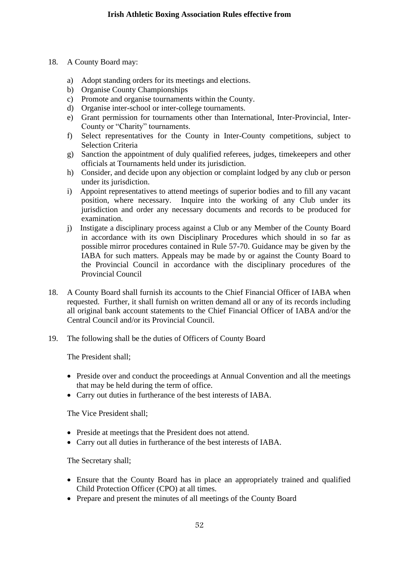- 18. A County Board may:
	- a) Adopt standing orders for its meetings and elections.
	- b) Organise County Championships
	- c) Promote and organise tournaments within the County.
	- d) Organise inter-school or inter-college tournaments.
	- e) Grant permission for tournaments other than International, Inter-Provincial, Inter-County or "Charity" tournaments.
	- f) Select representatives for the County in Inter-County competitions, subject to Selection Criteria
	- g) Sanction the appointment of duly qualified referees, judges, timekeepers and other officials at Tournaments held under its jurisdiction.
	- h) Consider, and decide upon any objection or complaint lodged by any club or person under its jurisdiction.
	- i) Appoint representatives to attend meetings of superior bodies and to fill any vacant position, where necessary. Inquire into the working of any Club under its jurisdiction and order any necessary documents and records to be produced for examination.
	- j) Instigate a disciplinary process against a Club or any Member of the County Board in accordance with its own Disciplinary Procedures which should in so far as possible mirror procedures contained in Rule 57-70. Guidance may be given by the IABA for such matters. Appeals may be made by or against the County Board to the Provincial Council in accordance with the disciplinary procedures of the Provincial Council
- 18. A County Board shall furnish its accounts to the Chief Financial Officer of IABA when requested. Further, it shall furnish on written demand all or any of its records including all original bank account statements to the Chief Financial Officer of IABA and/or the Central Council and/or its Provincial Council.
- 19. The following shall be the duties of Officers of County Board

The President shall;

- Preside over and conduct the proceedings at Annual Convention and all the meetings that may be held during the term of office.
- Carry out duties in furtherance of the best interests of IABA.

The Vice President shall;

- Preside at meetings that the President does not attend.
- Carry out all duties in furtherance of the best interests of IABA.

The Secretary shall;

- Ensure that the County Board has in place an appropriately trained and qualified Child Protection Officer (CPO) at all times.
- Prepare and present the minutes of all meetings of the County Board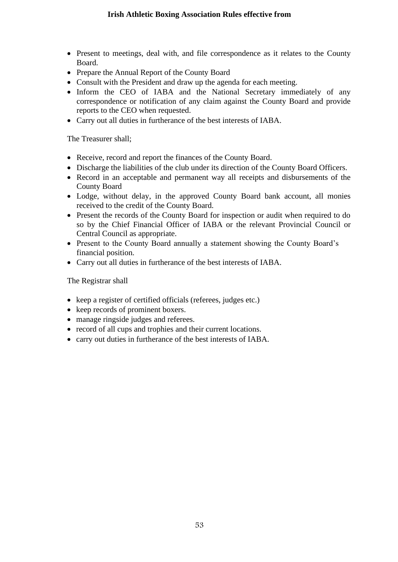- Present to meetings, deal with, and file correspondence as it relates to the County Board.
- Prepare the Annual Report of the County Board
- Consult with the President and draw up the agenda for each meeting.
- Inform the CEO of IABA and the National Secretary immediately of any correspondence or notification of any claim against the County Board and provide reports to the CEO when requested.
- Carry out all duties in furtherance of the best interests of IABA.

The Treasurer shall;

- Receive, record and report the finances of the County Board.
- Discharge the liabilities of the club under its direction of the County Board Officers.
- Record in an acceptable and permanent way all receipts and disbursements of the County Board
- Lodge, without delay, in the approved County Board bank account, all monies received to the credit of the County Board.
- Present the records of the County Board for inspection or audit when required to do so by the Chief Financial Officer of IABA or the relevant Provincial Council or Central Council as appropriate.
- Present to the County Board annually a statement showing the County Board's financial position.
- Carry out all duties in furtherance of the best interests of IABA.

The Registrar shall

- keep a register of certified officials (referees, judges etc.)
- keep records of prominent boxers.
- manage ringside judges and referees.
- record of all cups and trophies and their current locations.
- carry out duties in furtherance of the best interests of IABA.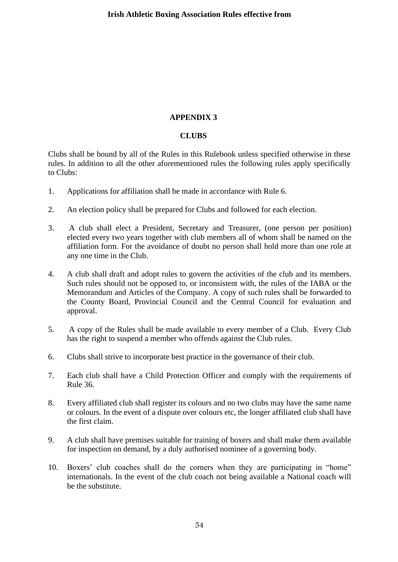#### **APPENDIX 3**

#### **CLUBS**

Clubs shall be bound by all of the Rules in this Rulebook unless specified otherwise in these rules. In addition to all the other aforementioned rules the following rules apply specifically to Clubs:

- 1. Applications for affiliation shall be made in accordance with Rule 6.
- 2. An election policy shall be prepared for Clubs and followed for each election.
- 3. A club shall elect a President, Secretary and Treasurer, (one person per position) elected every two years together with club members all of whom shall be named on the affiliation form. For the avoidance of doubt no person shall hold more than one role at any one time in the Club.
- 4. A club shall draft and adopt rules to govern the activities of the club and its members. Such rules should not be opposed to, or inconsistent with, the rules of the IABA or the Memorandum and Articles of the Company. A copy of such rules shall be forwarded to the County Board, Provincial Council and the Central Council for evaluation and approval.
- 5. A copy of the Rules shall be made available to every member of a Club. Every Club has the right to suspend a member who offends against the Club rules.
- 6. Clubs shall strive to incorporate best practice in the governance of their club.
- 7. Each club shall have a Child Protection Officer and comply with the requirements of Rule 36.
- 8. Every affiliated club shall register its colours and no two clubs may have the same name or colours. In the event of a dispute over colours etc, the longer affiliated club shall have the first claim.
- 9. A club shall have premises suitable for training of boxers and shall make them available for inspection on demand, by a duly authorised nominee of a governing body.
- 10. Boxers' club coaches shall do the corners when they are participating in "home" internationals. In the event of the club coach not being available a National coach will be the substitute.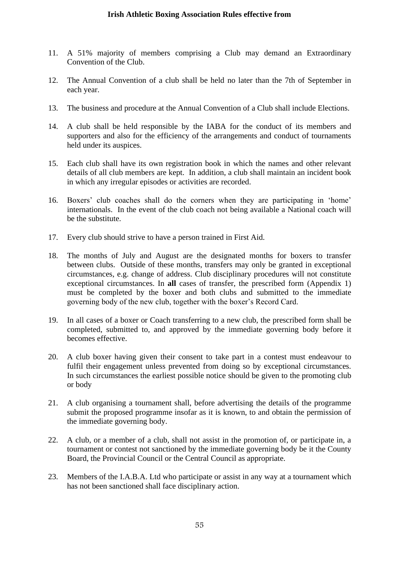- 11. A 51% majority of members comprising a Club may demand an Extraordinary Convention of the Club.
- 12. The Annual Convention of a club shall be held no later than the 7th of September in each year.
- 13. The business and procedure at the Annual Convention of a Club shall include Elections.
- 14. A club shall be held responsible by the IABA for the conduct of its members and supporters and also for the efficiency of the arrangements and conduct of tournaments held under its auspices.
- 15. Each club shall have its own registration book in which the names and other relevant details of all club members are kept. In addition, a club shall maintain an incident book in which any irregular episodes or activities are recorded.
- 16. Boxers' club coaches shall do the corners when they are participating in 'home' internationals. In the event of the club coach not being available a National coach will be the substitute.
- 17. Every club should strive to have a person trained in First Aid.
- 18. The months of July and August are the designated months for boxers to transfer between clubs. Outside of these months, transfers may only be granted in exceptional circumstances, e.g. change of address. Club disciplinary procedures will not constitute exceptional circumstances. In **all** cases of transfer, the prescribed form (Appendix 1) must be completed by the boxer and both clubs and submitted to the immediate governing body of the new club, together with the boxer's Record Card.
- 19. In all cases of a boxer or Coach transferring to a new club, the prescribed form shall be completed, submitted to, and approved by the immediate governing body before it becomes effective.
- 20. A club boxer having given their consent to take part in a contest must endeavour to fulfil their engagement unless prevented from doing so by exceptional circumstances. In such circumstances the earliest possible notice should be given to the promoting club or body
- 21. A club organising a tournament shall, before advertising the details of the programme submit the proposed programme insofar as it is known, to and obtain the permission of the immediate governing body.
- 22. A club, or a member of a club, shall not assist in the promotion of, or participate in, a tournament or contest not sanctioned by the immediate governing body be it the County Board, the Provincial Council or the Central Council as appropriate.
- 23. Members of the I.A.B.A. Ltd who participate or assist in any way at a tournament which has not been sanctioned shall face disciplinary action.